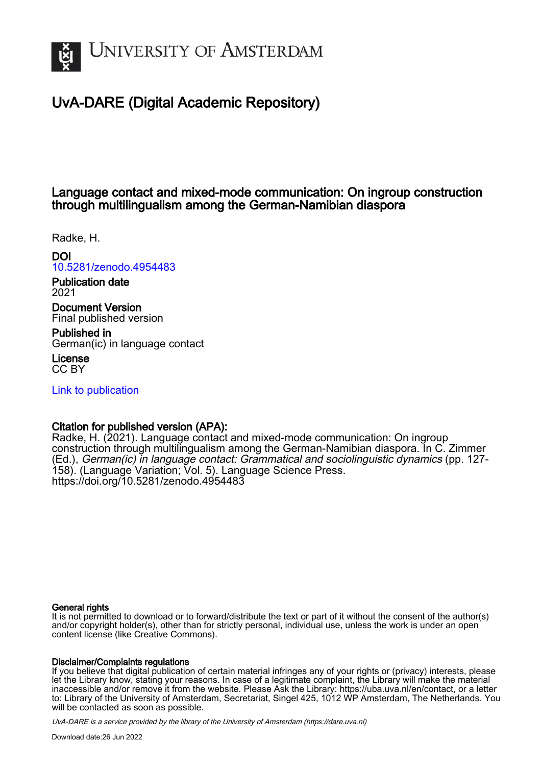

## UvA-DARE (Digital Academic Repository)

## Language contact and mixed-mode communication: On ingroup construction through multilingualism among the German-Namibian diaspora

Radke, H.

DOI

[10.5281/zenodo.4954483](https://doi.org/10.5281/zenodo.4954483)

Publication date 2021

Document Version Final published version

Published in German(ic) in language contact

License CC BY

[Link to publication](https://dare.uva.nl/personal/pure/en/publications/language-contact-and-mixedmode-communication-on-ingroup-construction-through-multilingualism-among-the-germannamibian-diaspora(84468e3c-ae04-48ae-8169-7d7f15f40149).html)

## Citation for published version (APA):

Radke, H. (2021). Language contact and mixed-mode communication: On ingroup construction through multilingualism among the German-Namibian diaspora. In C. Zimmer (Ed.), German(ic) in language contact: Grammatical and sociolinguistic dynamics (pp. 127- 158). (Language Variation; Vol. 5). Language Science Press. <https://doi.org/10.5281/zenodo.4954483>

#### General rights

It is not permitted to download or to forward/distribute the text or part of it without the consent of the author(s) and/or copyright holder(s), other than for strictly personal, individual use, unless the work is under an open content license (like Creative Commons).

#### Disclaimer/Complaints regulations

If you believe that digital publication of certain material infringes any of your rights or (privacy) interests, please let the Library know, stating your reasons. In case of a legitimate complaint, the Library will make the material inaccessible and/or remove it from the website. Please Ask the Library: https://uba.uva.nl/en/contact, or a letter to: Library of the University of Amsterdam, Secretariat, Singel 425, 1012 WP Amsterdam, The Netherlands. You will be contacted as soon as possible.

UvA-DARE is a service provided by the library of the University of Amsterdam (http*s*://dare.uva.nl)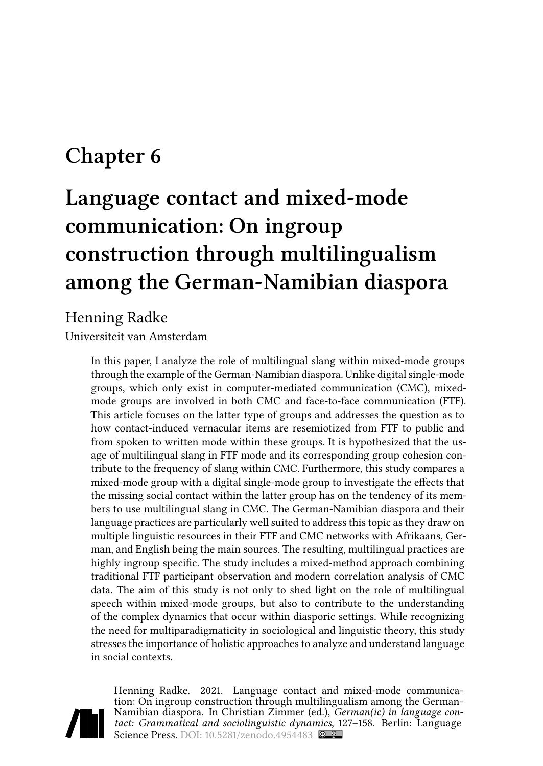# **Chapter 6**

# **Language contact and mixed-mode communication: On ingroup construction through multilingualism among the German-Namibian diaspora**

## Henning Radke

Universiteit van Amsterdam

In this paper, I analyze the role of multilingual slang within mixed-mode groups through the example of the German-Namibian diaspora. Unlike digital single-mode groups, which only exist in computer-mediated communication (CMC), mixedmode groups are involved in both CMC and face-to-face communication (FTF). This article focuses on the latter type of groups and addresses the question as to how contact-induced vernacular items are resemiotized from FTF to public and from spoken to written mode within these groups. It is hypothesized that the usage of multilingual slang in FTF mode and its corresponding group cohesion contribute to the frequency of slang within CMC. Furthermore, this study compares a mixed-mode group with a digital single-mode group to investigate the effects that the missing social contact within the latter group has on the tendency of its members to use multilingual slang in CMC. The German-Namibian diaspora and their language practices are particularly well suited to address this topic as they draw on multiple linguistic resources in their FTF and CMC networks with Afrikaans, German, and English being the main sources. The resulting, multilingual practices are highly ingroup specific. The study includes a mixed-method approach combining traditional FTF participant observation and modern correlation analysis of CMC data. The aim of this study is not only to shed light on the role of multilingual speech within mixed-mode groups, but also to contribute to the understanding of the complex dynamics that occur within diasporic settings. While recognizing the need for multiparadigmaticity in sociological and linguistic theory, this study stresses the importance of holistic approaches to analyze and understand language in social contexts.



Henning Radke. 2021. Language contact and mixed-mode communication: On ingroup construction through multilingualism among the German-Namibian diaspora. In Christian Zimmer (ed.), *German(ic) in language contact: Grammatical and sociolinguistic dynamics*, 127–158. Berlin: Language Science Press. DOI: [10.5281/zenodo.4954483](https://doi.org/10.5281/zenodo.4954483)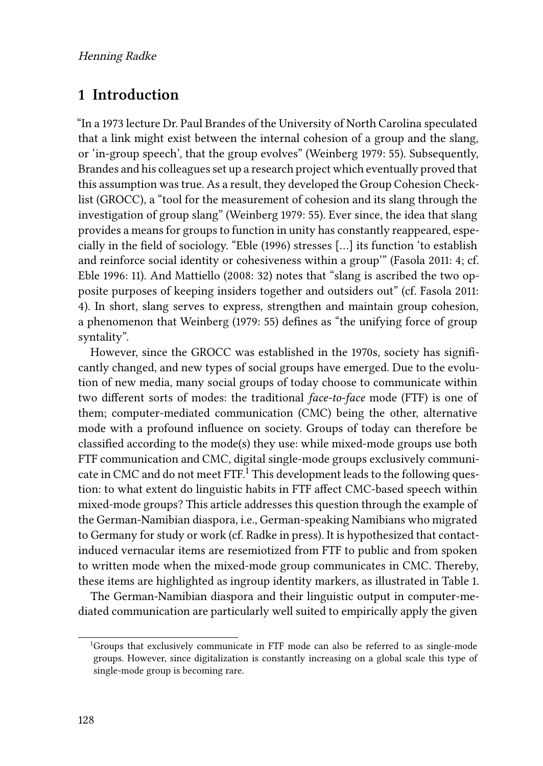### **1 Introduction**

"In a 1973 lecture Dr. Paul Brandes of the University of North Carolina speculated that a link might exist between the internal cohesion of a group and the slang, or 'in-group speech', that the group evolves"([Weinberg 1979:](#page-32-0) 55). Subsequently, Brandes and his colleagues set up a research project which eventually proved that this assumption was true. As a result, they developed the Group Cohesion Checklist (GROCC), a "tool for the measurement of cohesion and its slang through the investigation of group slang"([Weinberg 1979:](#page-32-0) 55). Ever since, the idea that slang provides a means for groups to function in unity has constantly reappeared, especially in the field of sociology."[Eble \(1996\)](#page-29-0) stresses […] its function 'to establish and reinforce social identity or cohesiveness within a group'"([Fasola 2011:](#page-29-1) 4; cf. [Eble 1996](#page-29-0): 11). And [Mattiello \(2008:](#page-31-0) 32) notes that "slang is ascribed the two opposite purposes of keeping insiders together and outsiders out" (cf. [Fasola 2011](#page-29-1): 4). In short, slang serves to express, strengthen and maintain group cohesion, a phenomenon that [Weinberg \(1979:](#page-32-0) 55) defines as "the unifying force of group syntality".

However, since the GROCC was established in the 1970s, society has significantly changed, and new types of social groups have emerged. Due to the evolution of new media, many social groups of today choose to communicate within two different sorts of modes: the traditional *face-to-face* mode (FTF) is one of them; computer-mediated communication (CMC) being the other, alternative mode with a profound influence on society. Groups of today can therefore be classified according to the mode(s) they use: while mixed-mode groups use both FTF communication and CMC, digital single-mode groups exclusively communicate in CMC and do not meet FTF.<sup>1</sup> This development leads to the following question: to what extent do linguistic habits in FTF affect CMC-based speech within mixed-mode groups? This article addresses this question through the example of the German-Namibian diaspora, i.e., German-speaking Namibians who migrated to Germany for study or work (cf. [Radke in press](#page-31-1)). It is hypothesized that contactinduced vernacular items are resemiotized from FTF to public and from spoken to written mode when the mixed-mode group communicates in CMC. Thereby, these items are highlighted as ingroup identity markers, as illustrated in Table [1](#page-3-0).

The German-Namibian diaspora and their linguistic output in computer-mediated communication are particularly well suited to empirically apply the given

<sup>1</sup>Groups that exclusively communicate in FTF mode can also be referred to as single-mode groups. However, since digitalization is constantly increasing on a global scale this type of single-mode group is becoming rare.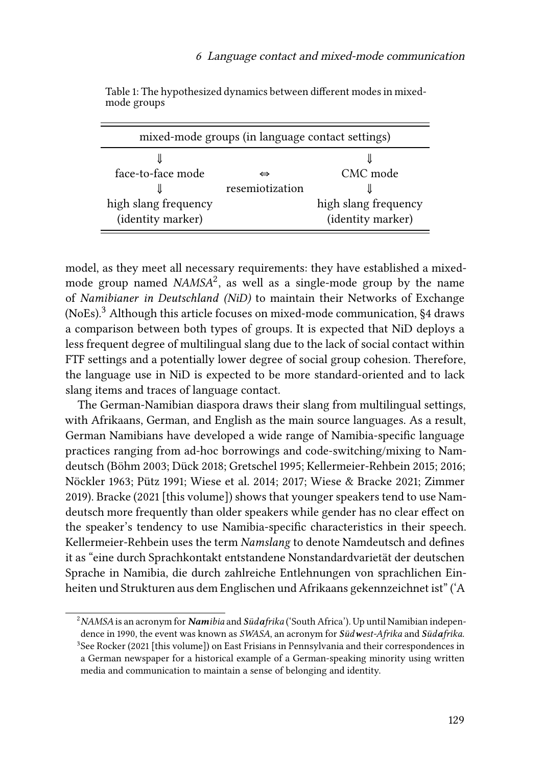<span id="page-3-0"></span>

| mixed-mode groups (in language contact settings) |                 |                      |  |  |
|--------------------------------------------------|-----------------|----------------------|--|--|
|                                                  |                 |                      |  |  |
| face-to-face mode                                | ⇔               | CMC mode             |  |  |
|                                                  | resemiotization |                      |  |  |
| high slang frequency                             |                 | high slang frequency |  |  |
| (identity marker)                                |                 | (identity marker)    |  |  |

Table 1: The hypothesized dynamics between different modes in mixedmode groups

model, as they meet all necessary requirements: they have established a mixedmode group named *NAMSA*<sup>2</sup> , as well as a single-mode group by the name of *Namibianer in Deutschland (NiD)* to maintain their Networks of Exchange (NoEs).<sup>3</sup>Although this article focuses on mixed-mode communication, §[4](#page-22-0) draws a comparison between both types of groups. It is expected that NiD deploys a less frequent degree of multilingual slang due to the lack of social contact within FTF settings and a potentially lower degree of social group cohesion. Therefore, the language use in NiD is expected to be more standard-oriented and to lack slang items and traces of language contact.

The German-Namibian diaspora draws their slang from multilingual settings, with Afrikaans, German, and English as the main source languages. As a result, German Namibians have developed a wide range of Namibia-specific language practices ranging from ad-hoc borrowings and code-switching/mixing to Namdeutsch [\(Böhm 2003;](#page-29-2) [Dück 2018;](#page-29-3) [Gretschel 1995](#page-29-4); [Kellermeier-Rehbein 2015](#page-30-0); [2016;](#page-30-1) [Nöckler 1963](#page-31-2); [Pütz 1991](#page-31-3); [Wiese et al. 2014;](#page-32-1) [2017;](#page-32-2) [Wiese & Bracke 2021](#page-32-3); [Zimmer](#page-32-4) [2019\)](#page-32-4). [Bracke \(2021](#page-29-5) [\[this volume\]\)](#page-29-5) shows that younger speakers tend to use Namdeutsch more frequently than older speakers while gender has no clear effect on the speaker's tendency to use Namibia-specific characteristics in their speech. Kellermeier-Rehbein uses the term *Namslang* to denote Namdeutsch and defines it as "eine durch Sprachkontakt entstandene Nonstandardvarietät der deutschen Sprache in Namibia, die durch zahlreiche Entlehnungen von sprachlichen Einheiten und Strukturen aus dem Englischen und Afrikaans gekennzeichnet ist" ('A

<sup>2</sup>*NAMSA* is an acronym for *Namibia* and *Südafrika* ('South Africa'). Up until Namibian independence in 1990, the event was known as *SWASA*, an acronym for *Südwest-Afrika* and *Südafrika*.  $3$ See [Rocker \(2021](#page-31-4) [\[this volume\]\)](#page-31-4) on East Frisians in Pennsylvania and their correspondences in a German newspaper for a historical example of a German-speaking minority using written media and communication to maintain a sense of belonging and identity.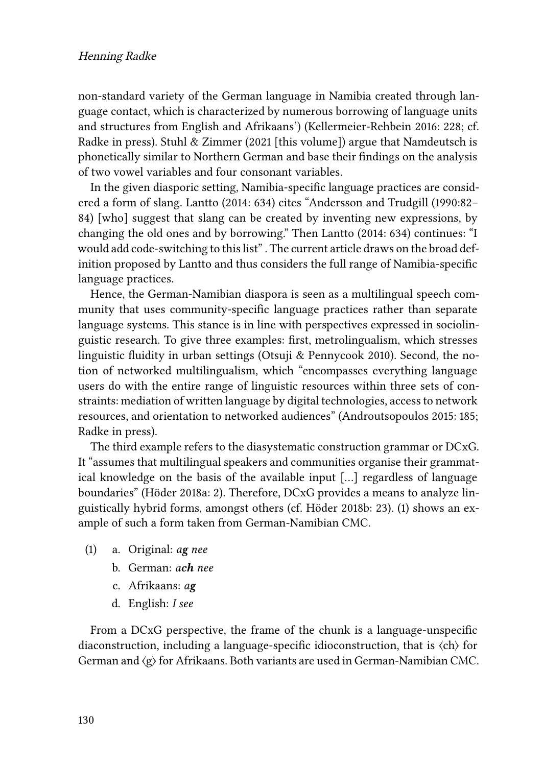non-standard variety of the German language in Namibia created through language contact, which is characterized by numerous borrowing of language units and structures from English and Afrikaans')([Kellermeier-Rehbein 2016](#page-30-1): 228; cf. [Radke in press](#page-31-1)). Stuhl  $\&$  Zimmer (2021 [\[this volume\]\)](#page-32-5) argue that Namdeutsch is phonetically similar to Northern German and base their findings on the analysis of two vowel variables and four consonant variables.

In the given diasporic setting, Namibia-specific language practices are considered a form of slang. [Lantto \(2014](#page-31-5): 634) cites "Andersson and Trudgill (1990:82– 84) [who] suggest that slang can be created by inventing new expressions, by changing the old ones and by borrowing." Then [Lantto \(2014](#page-31-5): 634) continues: "I would add code-switching to this list" . The current article draws on the broad definition proposed by Lantto and thus considers the full range of Namibia-specific language practices.

Hence, the German-Namibian diaspora is seen as a multilingual speech community that uses community-specific language practices rather than separate language systems. This stance is in line with perspectives expressed in sociolinguistic research. To give three examples: first, metrolingualism, which stresses linguistic fluidity in urban settings [\(Otsuji & Pennycook 2010](#page-31-6)). Second, the notion of networked multilingualism, which "encompasses everything language users do with the entire range of linguistic resources within three sets of constraints: mediation of written language by digital technologies, access to network resources, and orientation to networked audiences"([Androutsopoulos 2015:](#page-28-0) 185; [Radke in press](#page-31-1)).

The third example refers to the diasystematic construction grammar or DCxG. It "assumes that multilingual speakers and communities organise their grammatical knowledge on the basis of the available input […] regardless of language boundaries"([Höder 2018a](#page-30-2): 2). Therefore, DCxG provides a means to analyze linguistically hybrid forms, amongst others (cf. [Höder 2018b](#page-30-3): 23). [\(1](#page-4-0)) shows an example of such a form taken from German-Namibian CMC.

- <span id="page-4-0"></span>(1) a. Original: *ag nee*
	- b. German: *ach nee*
	- c. Afrikaans: *ag*
	- d. English: *I see*

From a DCxG perspective, the frame of the chunk is a language-unspecific diaconstruction, including a language-specific idioconstruction, that is 〈ch〉 for German and  $\langle g \rangle$  for Afrikaans. Both variants are used in German-Namibian CMC.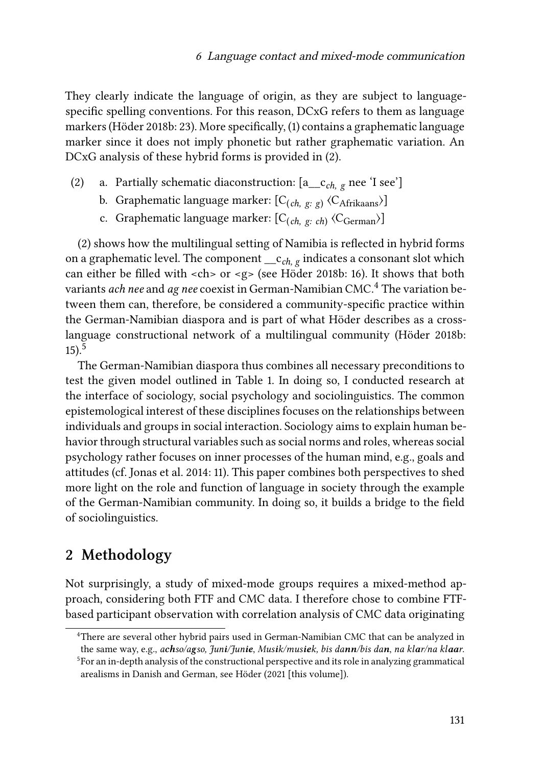They clearly indicate the language of origin, as they are subject to languagespecific spelling conventions. For this reason, DCxG refers to them as language markers([Höder 2018b:](#page-30-3) 23). More specifically, [\(1\)](#page-4-0) contains a graphematic language marker since it does not imply phonetic but rather graphematic variation. An DCxG analysis of these hybrid forms is provided in [\(2](#page-5-0)).

- <span id="page-5-0"></span>(2) a. Partially schematic diaconstruction: [a\_\_c*ch, g* nee 'I see']
	- b. Graphematic language marker: [C(*ch, g: g*) 〈CAfrikaans〉]
	- c. Graphematic language marker: [C<sub>(*ch*, g: *ch*)</sub> 〈C<sub>German</sub>〉]

[\(2](#page-5-0)) shows how the multilingual setting of Namibia is reflected in hybrid forms on a graphematic level. The component \_\_c*ch, g* indicates a consonant slot which can either be filled with <ch> or <g> (see [Höder 2018b:](#page-30-3) 16). It shows that both variants *ach nee* and *ag nee* coexist in German-Namibian CMC.<sup>4</sup> The variation between them can, therefore, be considered a community-specific practice within the German-Namibian diaspora and is part of what Höder describes as a crosslanguage constructional network of a multilingual community([Höder 2018b](#page-30-3):  $15)$ .<sup>5</sup>

The German-Namibian diaspora thus combines all necessary preconditions to test the given model outlined in Table [1](#page-3-0). In doing so, I conducted research at the interface of sociology, social psychology and sociolinguistics. The common epistemological interest of these disciplines focuses on the relationships between individuals and groups in social interaction. Sociology aims to explain human behavior through structural variables such as social norms and roles, whereas social psychology rather focuses on inner processes of the human mind, e.g., goals and attitudes (cf. [Jonas et al. 2014:](#page-30-4) 11). This paper combines both perspectives to shed more light on the role and function of language in society through the example of the German-Namibian community. In doing so, it builds a bridge to the field of sociolinguistics.

## **2 Methodology**

Not surprisingly, a study of mixed-mode groups requires a mixed-method approach, considering both FTF and CMC data. I therefore chose to combine FTFbased participant observation with correlation analysis of CMC data originating

<sup>4</sup>There are several other hybrid pairs used in German-Namibian CMC that can be analyzed in the same way, e.g., achso/agso, Juni/Junie, Musik/musiek, bis dann/bis dan, na klar/na klaar. <sup>5</sup>For an in-depth analysis of the constructional perspective and its role in analyzing grammatical arealisms in Danish and German, see [Höder \(2021](#page-30-5) [\[this volume\]\).](#page-30-5)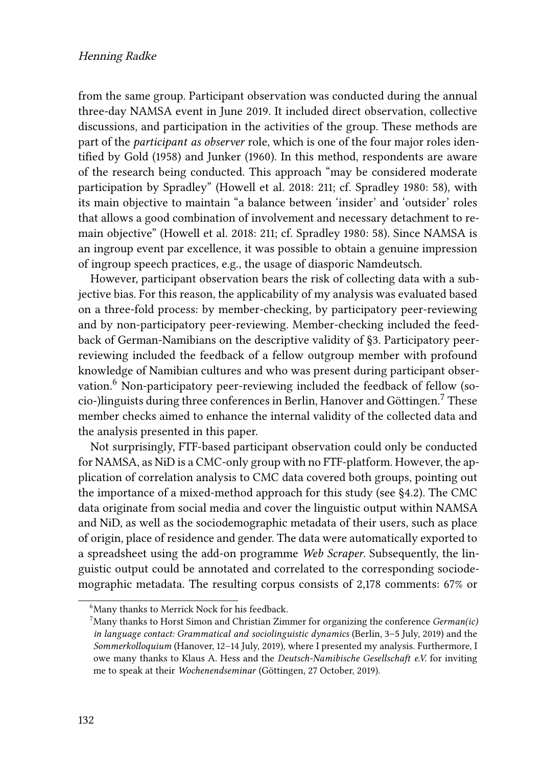#### Henning Radke

from the same group. Participant observation was conducted during the annual three-day NAMSA event in June 2019. It included direct observation, collective discussions, and participation in the activities of the group. These methods are part of the *participant as observer* role, which is one of the four major roles identified by [Gold \(1958\)](#page-29-6) and [Junker \(1960\).](#page-30-6) In this method, respondents are aware of the research being conducted. This approach "may be considered moderate participation by Spradley"([Howell et al. 2018](#page-30-7): 211; cf. [Spradley 1980:](#page-32-6) 58), with its main objective to maintain "a balance between 'insider' and 'outsider' roles that allows a good combination of involvement and necessary detachment to remain objective" [\(Howell et al. 2018](#page-30-7): 211; cf. [Spradley 1980:](#page-32-6) 58). Since NAMSA is an ingroup event par excellence, it was possible to obtain a genuine impression of ingroup speech practices, e.g., the usage of diasporic Namdeutsch.

However, participant observation bears the risk of collecting data with a subjective bias. For this reason, the applicability of my analysis was evaluated based on a three-fold process: by member-checking, by participatory peer-reviewing and by non-participatory peer-reviewing. Member-checking included the feedback of German-Namibians on the descriptive validity of§[3.](#page-7-0) Participatory peerreviewing included the feedback of a fellow outgroup member with profound knowledge of Namibian cultures and who was present during participant observation.<sup>6</sup> Non-participatory peer-reviewing included the feedback of fellow (socio-)linguists during three conferences in Berlin, Hanover and Göttingen.<sup>7</sup> These member checks aimed to enhance the internal validity of the collected data and the analysis presented in this paper.

Not surprisingly, FTF-based participant observation could only be conducted for NAMSA, as NiD is a CMC-only group with no FTF-platform. However, the application of correlation analysis to CMC data covered both groups, pointing out the importance of a mixed-method approach for this study (see [§4.2](#page-25-0)). The CMC data originate from social media and cover the linguistic output within NAMSA and NiD, as well as the sociodemographic metadata of their users, such as place of origin, place of residence and gender. The data were automatically exported to a spreadsheet using the add-on programme *Web Scraper*. Subsequently, the linguistic output could be annotated and correlated to the corresponding sociodemographic metadata. The resulting corpus consists of 2,178 comments: 67% or

<sup>&</sup>lt;sup>6</sup>Many thanks to Merrick Nock for his feedback.

<sup>7</sup>Many thanks to Horst Simon and Christian Zimmer for organizing the conference *German(ic) in language contact: Grammatical and sociolinguistic dynamics* (Berlin, 3–5 July, 2019) and the *Sommerkolloquium* (Hanover, 12–14 July, 2019), where I presented my analysis. Furthermore, I owe many thanks to Klaus A. Hess and the *Deutsch-Namibische Gesellschaft e.V.* for inviting me to speak at their *Wochenendseminar* (Göttingen, 27 October, 2019).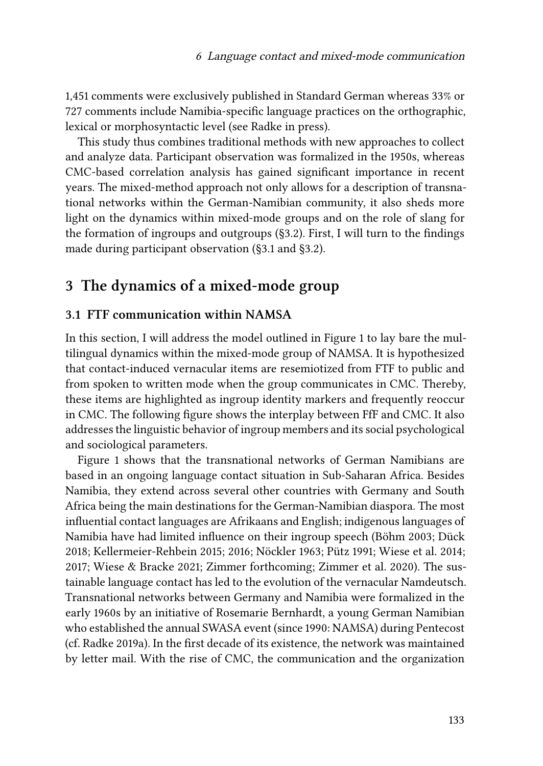1,451 comments were exclusively published in Standard German whereas 33% or 727 comments include Namibia-specific language practices on the orthographic, lexical or morphosyntactic level (see [Radke in press\)](#page-31-1).

This study thus combines traditional methods with new approaches to collect and analyze data. Participant observation was formalized in the 1950s, whereas CMC-based correlation analysis has gained significant importance in recent years. The mixed-method approach not only allows for a description of transnational networks within the German-Namibian community, it also sheds more light on the dynamics within mixed-mode groups and on the role of slang for the formation of ingroups and outgroups (§[3.2](#page-10-0)). First, I will turn to the findings made during participant observation ([§3.1](#page-7-1) and§[3.2](#page-10-0)).

## <span id="page-7-0"></span>**3 The dynamics of a mixed-mode group**

#### <span id="page-7-1"></span>**3.1 FTF communication within NAMSA**

In this section, I will address the model outlined in Figure [1](#page-8-0) to lay bare the multilingual dynamics within the mixed-mode group of NAMSA. It is hypothesized that contact-induced vernacular items are resemiotized from FTF to public and from spoken to written mode when the group communicates in CMC. Thereby, these items are highlighted as ingroup identity markers and frequently reoccur in CMC. The following figure shows the interplay between FfF and CMC. It also addresses the linguistic behavior of ingroup members and its social psychological and sociological parameters.

Figure [1](#page-8-0) shows that the transnational networks of German Namibians are based in an ongoing language contact situation in Sub-Saharan Africa. Besides Namibia, they extend across several other countries with Germany and South Africa being the main destinations for the German-Namibian diaspora. The most influential contact languages are Afrikaans and English; indigenous languages of Namibia have had limited influence on their ingroup speech [\(Böhm 2003;](#page-29-2) [Dück](#page-29-3) [2018;](#page-29-3) [Kellermeier-Rehbein 2015](#page-30-0); [2016](#page-30-1); [Nöckler 1963;](#page-31-2) [Pütz 1991](#page-31-3); [Wiese et al. 2014;](#page-32-1) [2017](#page-32-2); [Wiese & Bracke 2021](#page-32-3); [Zimmer forthcoming](#page-32-7); [Zimmer et al. 2020](#page-32-8)). The sustainable language contact has led to the evolution of the vernacular Namdeutsch. Transnational networks between Germany and Namibia were formalized in the early 1960s by an initiative of Rosemarie Bernhardt, a young German Namibian who established the annual SWASA event (since 1990: NAMSA) during Pentecost (cf. [Radke 2019a\)](#page-31-7). In the first decade of its existence, the network was maintained by letter mail. With the rise of CMC, the communication and the organization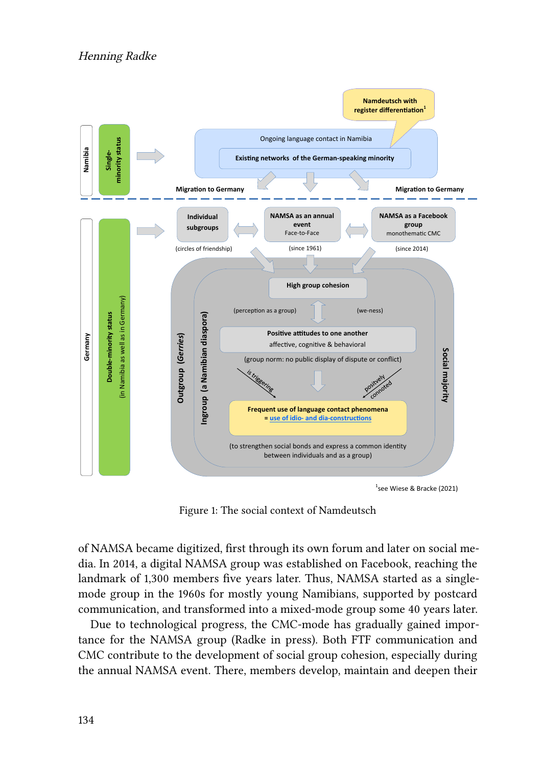<span id="page-8-0"></span>

1 see Wiese & Bracke (2021)

Figure 1: The social context of Namdeutsch

of NAMSA became digitized, first through its own forum and later on social media. In 2014, a digital NAMSA group was established on Facebook, reaching the landmark of 1,300 members five years later. Thus, NAMSA started as a singlemode group in the 1960s for mostly young Namibians, supported by postcard communication, and transformed into a mixed-mode group some 40 years later.

Due to technological progress, the CMC-mode has gradually gained importance for the NAMSA group([Radke in press\)](#page-31-1). Both FTF communication and CMC contribute to the development of social group cohesion, especially during the annual NAMSA event. There, members develop, maintain and deepen their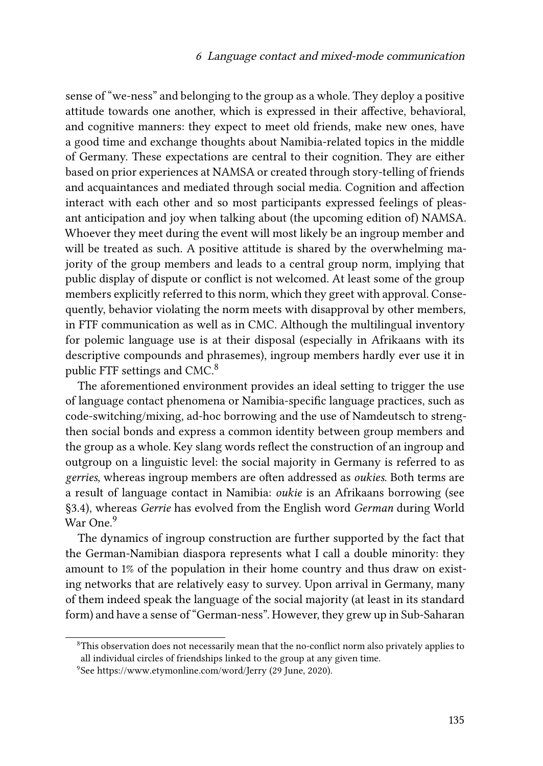sense of "we-ness" and belonging to the group as a whole. They deploy a positive attitude towards one another, which is expressed in their affective, behavioral, and cognitive manners: they expect to meet old friends, make new ones, have a good time and exchange thoughts about Namibia-related topics in the middle of Germany. These expectations are central to their cognition. They are either based on prior experiences at NAMSA or created through story-telling of friends and acquaintances and mediated through social media. Cognition and affection interact with each other and so most participants expressed feelings of pleasant anticipation and joy when talking about (the upcoming edition of) NAMSA. Whoever they meet during the event will most likely be an ingroup member and will be treated as such. A positive attitude is shared by the overwhelming majority of the group members and leads to a central group norm, implying that public display of dispute or conflict is not welcomed. At least some of the group members explicitly referred to this norm, which they greet with approval. Consequently, behavior violating the norm meets with disapproval by other members, in FTF communication as well as in CMC. Although the multilingual inventory for polemic language use is at their disposal (especially in Afrikaans with its descriptive compounds and phrasemes), ingroup members hardly ever use it in public FTF settings and CMC.<sup>8</sup>

The aforementioned environment provides an ideal setting to trigger the use of language contact phenomena or Namibia-specific language practices, such as code-switching/mixing, ad-hoc borrowing and the use of Namdeutsch to strengthen social bonds and express a common identity between group members and the group as a whole. Key slang words reflect the construction of an ingroup and outgroup on a linguistic level: the social majority in Germany is referred to as *gerries*, whereas ingroup members are often addressed as *oukies*. Both terms are a result of language contact in Namibia: *oukie* is an Afrikaans borrowing (see [§3.4](#page-14-0)), whereas *Gerrie* has evolved from the English word *German* during World War One.<sup>9</sup>

The dynamics of ingroup construction are further supported by the fact that the German-Namibian diaspora represents what I call a double minority: they amount to 1% of the population in their home country and thus draw on existing networks that are relatively easy to survey. Upon arrival in Germany, many of them indeed speak the language of the social majority (at least in its standard form) and have a sense of "German-ness". However, they grew up in Sub-Saharan

<sup>&</sup>lt;sup>8</sup>This observation does not necessarily mean that the no-conflict norm also privately applies to all individual circles of friendships linked to the group at any given time.

<sup>9</sup> See <https://www.etymonline.com/word/Jerry> (29 June, 2020).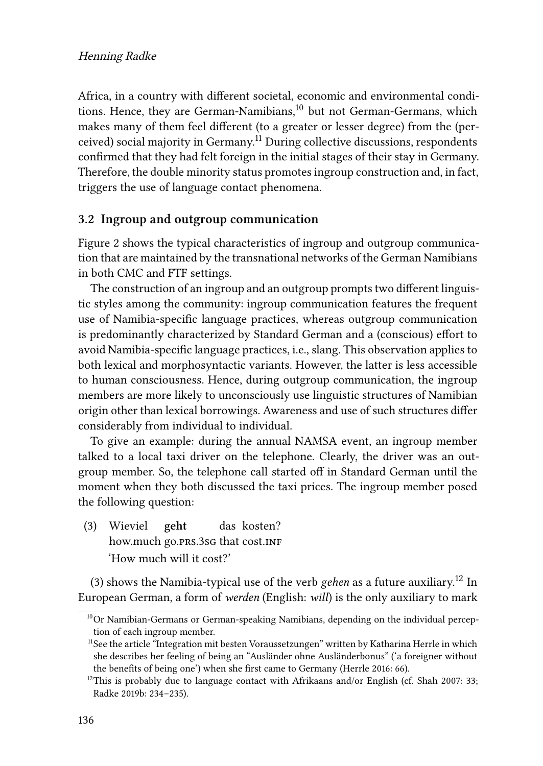#### Henning Radke

Africa, in a country with different societal, economic and environmental conditions. Hence, they are German-Namibians,<sup>10</sup> but not German-Germans, which makes many of them feel different (to a greater or lesser degree) from the (perceived) social majority in Germany.<sup>11</sup> During collective discussions, respondents confirmed that they had felt foreign in the initial stages of their stay in Germany. Therefore, the double minority status promotes ingroup construction and, in fact, triggers the use of language contact phenomena.

#### <span id="page-10-0"></span>**3.2 Ingroup and outgroup communication**

Figure [2](#page-11-0) shows the typical characteristics of ingroup and outgroup communication that are maintained by the transnational networks of the German Namibians in both CMC and FTF settings.

The construction of an ingroup and an outgroup prompts two different linguistic styles among the community: ingroup communication features the frequent use of Namibia-specific language practices, whereas outgroup communication is predominantly characterized by Standard German and a (conscious) effort to avoid Namibia-specific language practices, i.e., slang. This observation applies to both lexical and morphosyntactic variants. However, the latter is less accessible to human consciousness. Hence, during outgroup communication, the ingroup members are more likely to unconsciously use linguistic structures of Namibian origin other than lexical borrowings. Awareness and use of such structures differ considerably from individual to individual.

To give an example: during the annual NAMSA event, an ingroup member talked to a local taxi driver on the telephone. Clearly, the driver was an outgroup member. So, the telephone call started off in Standard German until the moment when they both discussed the taxi prices. The ingroup member posed the following question:

<span id="page-10-1"></span>(3) Wieviel how.much go.prs.3sG that cost.inF **geht** das kosten? 'How much will it cost?'

([3\)](#page-10-1) shows the Namibia-typical use of the verb *gehen* as a future auxiliary.<sup>12</sup> In European German, a form of *werden* (English: *will*) is the only auxiliary to mark

<sup>&</sup>lt;sup>10</sup>Or Namibian-Germans or German-speaking Namibians, depending on the individual perception of each ingroup member.

<sup>&</sup>lt;sup>11</sup>See the article "Integration mit besten Voraussetzungen" written by Katharina Herrle in which she describes her feeling of being an "Ausländer ohne Ausländerbonus" ('a foreigner without the benefits of being one') when she first came to Germany [\(Herrle 2016](#page-30-8): 66).

 $12$ This is probably due to language contact with Afrikaans and/or English (cf. [Shah 2007:](#page-31-8) 33; [Radke 2019b](#page-31-9): 234–235).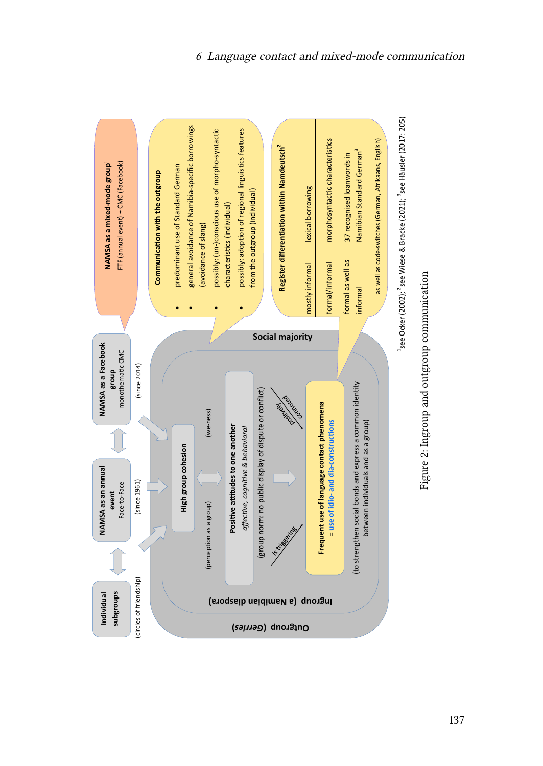

<span id="page-11-0"></span>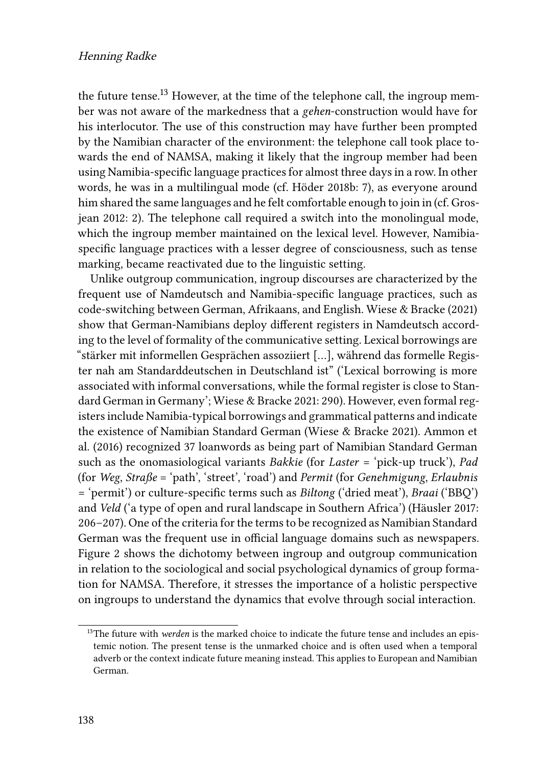the future tense.<sup>13</sup> However, at the time of the telephone call, the ingroup member was not aware of the markedness that a *gehen*-construction would have for his interlocutor. The use of this construction may have further been prompted by the Namibian character of the environment: the telephone call took place towards the end of NAMSA, making it likely that the ingroup member had been using Namibia-specific language practices for almost three days in a row. In other words, he was in a multilingual mode (cf. [Höder 2018b:](#page-30-3) 7), as everyone around him shared the same languages and he felt comfortable enough to join in (cf. [Gros](#page-29-7)[jean 2012](#page-29-7): 2). The telephone call required a switch into the monolingual mode, which the ingroup member maintained on the lexical level. However, Namibiaspecific language practices with a lesser degree of consciousness, such as tense marking, became reactivated due to the linguistic setting.

Unlike outgroup communication, ingroup discourses are characterized by the frequent use of Namdeutsch and Namibia-specific language practices, such as code-switching between German, Afrikaans, and English. [Wiese & Bracke \(2021\)](#page-32-3) show that German-Namibians deploy different registers in Namdeutsch according to the level of formality of the communicative setting. Lexical borrowings are "stärker mit informellen Gesprächen assoziiert […], während das formelle Register nah am Standarddeutschen in Deutschland ist" ('Lexical borrowing is more associated with informal conversations, while the formal register is close to Standard German in Germany'; [Wiese & Bracke 2021:](#page-32-3) 290). However, even formal registers include Namibia-typical borrowings and grammatical patterns and indicate the existence of Namibian Standard German([Wiese & Bracke 2021\)](#page-32-3). [Ammon et](#page-28-1) [al. \(2016\)](#page-28-1) recognized 37 loanwords as being part of Namibian Standard German such as the onomasiological variants *Bakkie* (for *Laster* = 'pick-up truck'), *Pad* (for *Weg*, *Straße* = 'path', 'street', 'road') and *Permit* (for *Genehmigung*, *Erlaubnis* = 'permit') or culture-specific terms such as *Biltong* ('dried meat'), *Braai* ('BBQ') and *Veld* ('a type of open and rural landscape in Southern Africa')([Häusler 2017](#page-30-9): 206–207). One of the criteria for the terms to be recognized as Namibian Standard German was the frequent use in official language domains such as newspapers. Figure [2](#page-11-0) shows the dichotomy between ingroup and outgroup communication in relation to the sociological and social psychological dynamics of group formation for NAMSA. Therefore, it stresses the importance of a holistic perspective on ingroups to understand the dynamics that evolve through social interaction.

<sup>&</sup>lt;sup>13</sup>The future with *werden* is the marked choice to indicate the future tense and includes an epistemic notion. The present tense is the unmarked choice and is often used when a temporal adverb or the context indicate future meaning instead. This applies to European and Namibian German.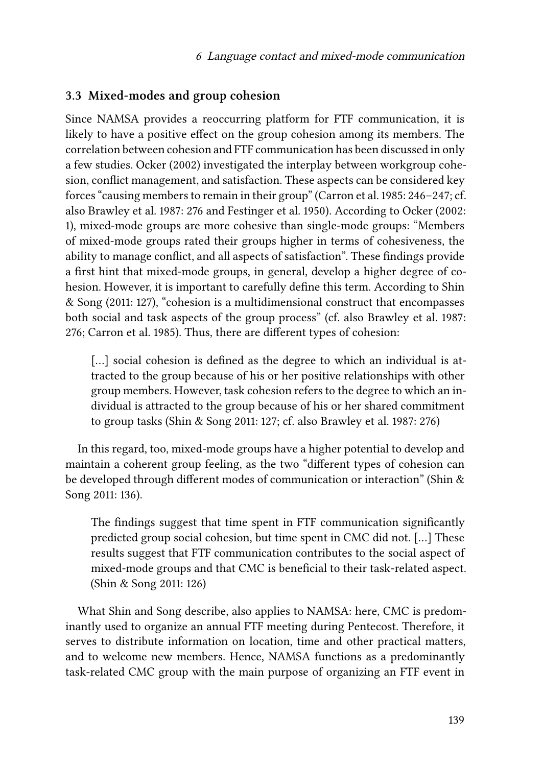#### **3.3 Mixed-modes and group cohesion**

Since NAMSA provides a reoccurring platform for FTF communication, it is likely to have a positive effect on the group cohesion among its members. The correlation between cohesion and FTF communication has been discussed in only a few studies. [Ocker \(2002\)](#page-31-10) investigated the interplay between workgroup cohesion, conflict management, and satisfaction. These aspects can be considered key forces "causing members to remain in their group"([Carron et al. 1985:](#page-29-8) 246–247; cf. also [Brawley et al. 1987:](#page-29-9) 276 and [Festinger et al. 1950\)](#page-29-10). According to [Ocker \(2002](#page-31-10): 1), mixed-mode groups are more cohesive than single-mode groups: "Members of mixed-mode groups rated their groups higher in terms of cohesiveness, the ability to manage conflict, and all aspects of satisfaction". These findings provide a first hint that mixed-mode groups, in general, develop a higher degree of cohesion. However, it is important to carefully define this term. According to [Shin](#page-31-11) [& Song \(2011:](#page-31-11) 127), "cohesion is a multidimensional construct that encompasses both social and task aspects of the group process" (cf. also [Brawley et al. 1987](#page-29-9): 276; [Carron et al. 1985\)](#page-29-8). Thus, there are different types of cohesion:

[...] social cohesion is defined as the degree to which an individual is attracted to the group because of his or her positive relationships with other group members. However, task cohesion refers to the degree to which an individual is attracted to the group because of his or her shared commitment to group tasks [\(Shin & Song 2011:](#page-31-11) 127; cf. also [Brawley et al. 1987](#page-29-9): 276)

In this regard, too, mixed-mode groups have a higher potential to develop and maintain a coherent group feeling, as the two "different types of cohesion can be developed through different modes of communication or interaction" [\(Shin &](#page-31-11) [Song 2011](#page-31-11): 136).

The findings suggest that time spent in FTF communication significantly predicted group social cohesion, but time spent in CMC did not. […] These results suggest that FTF communication contributes to the social aspect of mixed-mode groups and that CMC is beneficial to their task-related aspect. ([Shin & Song 2011](#page-31-11): 126)

What Shin and Song describe, also applies to NAMSA: here, CMC is predominantly used to organize an annual FTF meeting during Pentecost. Therefore, it serves to distribute information on location, time and other practical matters, and to welcome new members. Hence, NAMSA functions as a predominantly task-related CMC group with the main purpose of organizing an FTF event in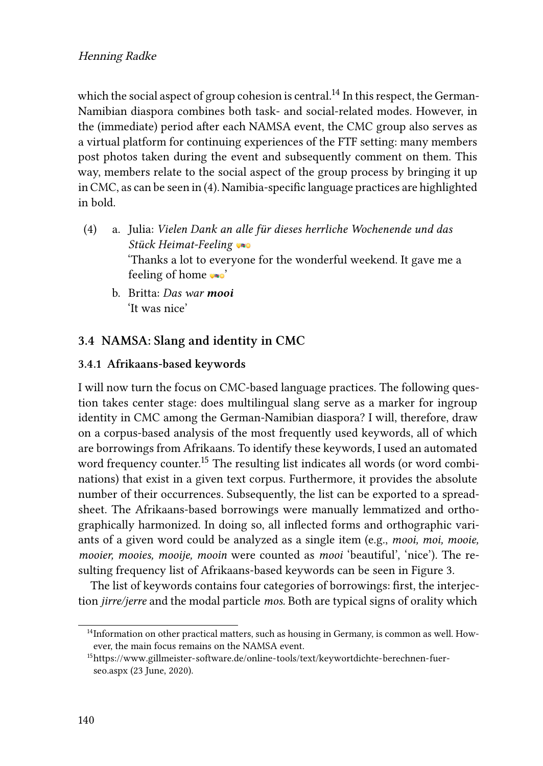#### Henning Radke

which the social aspect of group cohesion is central.<sup>14</sup> In this respect, the German-Namibian diaspora combines both task- and social-related modes. However, in the (immediate) period after each NAMSA event, the CMC group also serves as a virtual platform for continuing experiences of the FTF setting: many members post photos taken during the event and subsequently comment on them. This way, members relate to the social aspect of the group process by bringing it up in CMC, as can be seen in [\(4](#page-14-1)). Namibia-specific language practices are highlighted in bold.

- <span id="page-14-1"></span>(4) a. Julia: *Vielen Dank an alle für dieses herrliche Wochenende und das Stück Heimat-Feeling* 'Thanks a lot to everyone for the wonderful weekend. It gave me a feeling of home  $\bullet\bullet$ 
	- b. Britta: *Das war mooi* 'It was nice'

#### <span id="page-14-0"></span>**3.4 NAMSA: Slang and identity in CMC**

#### **3.4.1 Afrikaans-based keywords**

I will now turn the focus on CMC-based language practices. The following question takes center stage: does multilingual slang serve as a marker for ingroup identity in CMC among the German-Namibian diaspora? I will, therefore, draw on a corpus-based analysis of the most frequently used keywords, all of which are borrowings from Afrikaans. To identify these keywords, I used an automated word frequency counter.<sup>15</sup> The resulting list indicates all words (or word combinations) that exist in a given text corpus. Furthermore, it provides the absolute number of their occurrences. Subsequently, the list can be exported to a spreadsheet. The Afrikaans-based borrowings were manually lemmatized and orthographically harmonized. In doing so, all inflected forms and orthographic variants of a given word could be analyzed as a single item (e.g., *mooi, moi, mooie, mooier, mooies, mooije, mooin* were counted as *mooi* 'beautiful', 'nice'). The resulting frequency list of Afrikaans-based keywords can be seen in Figure [3](#page-15-0).

The list of keywords contains four categories of borrowings: first, the interjection *jirre/jerre* and the modal particle *mos.* Both are typical signs of orality which

<sup>&</sup>lt;sup>14</sup>Information on other practical matters, such as housing in Germany, is common as well. However, the main focus remains on the NAMSA event.

<sup>15</sup>[https://www.gillmeister-software.de/online-tools/text/keywortdichte-berechnen-fuer](https://www.gillmeister-software.de/online-tools/text/keywortdichte-berechnen-fuer-seo.aspx)[seo.aspx](https://www.gillmeister-software.de/online-tools/text/keywortdichte-berechnen-fuer-seo.aspx) (23 June, 2020).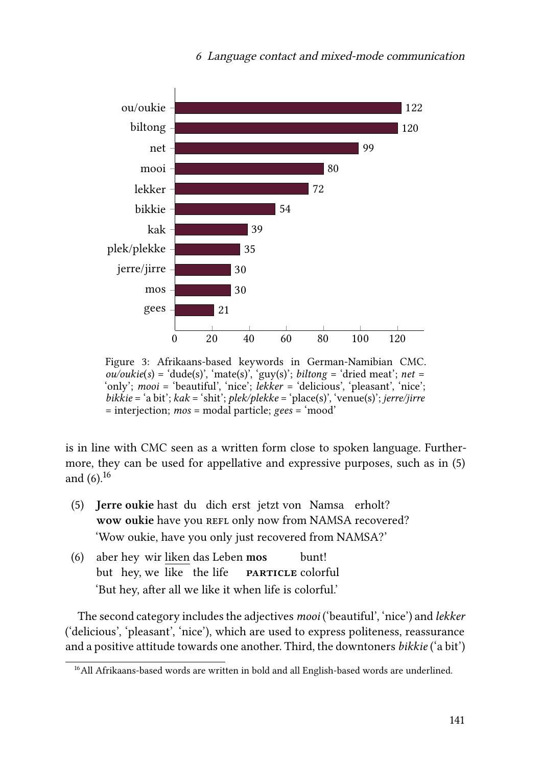<span id="page-15-0"></span>

Figure 3: Afrikaans-based keywords in German-Namibian CMC.  $ou/oukie(s) = 'dude(s)', 'mate(s)', 'guy(s)'; *biltong = 'dried meat'; net =*$ 'only'; *mooi* = 'beautiful', 'nice'; *lekker* = 'delicious', 'pleasant', 'nice'; *bikkie* = 'a bit'; *kak* = 'shit'; *plek/plekke* = 'place(s)', 'venue(s)'; *jerre/jirre* = interjection; *mos* = modal particle; *gees* = 'mood'

is in line with CMC seen as a written form close to spoken language. Furthermore, they can be used for appellative and expressive purposes, such as in([5\)](#page-15-1) and $(6)$  $(6)$ .<sup>16</sup>

- <span id="page-15-1"></span>(5) **Jerre oukie** hast du dich erst jetzt von Namsa erholt? wow oukie have you REFL only now from NAMSA recovered? 'Wow oukie, have you only just recovered from NAMSA?'
- <span id="page-15-2"></span>(6) aber hey wir liken das Leben **mos** but hey, we like the life **particle** colorful bunt! 'But hey, after all we like it when life is colorful.'

The second category includes the adjectives *mooi* ('beautiful', 'nice') and *lekker* ('delicious', 'pleasant', 'nice'), which are used to express politeness, reassurance and a positive attitude towards one another. Third, the downtoners *bikkie* ('a bit')

<sup>&</sup>lt;sup>16</sup>All Afrikaans-based words are written in bold and all English-based words are underlined.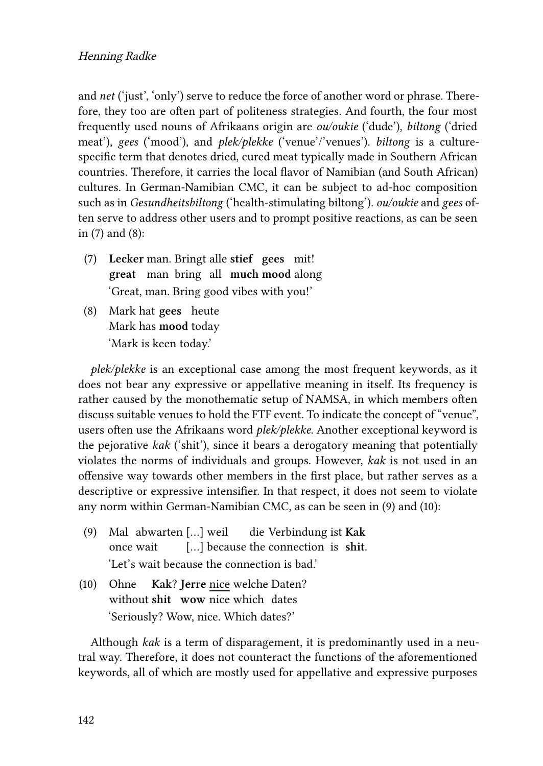and *net* ('just', 'only') serve to reduce the force of another word or phrase. Therefore, they too are often part of politeness strategies. And fourth, the four most frequently used nouns of Afrikaans origin are *ou/oukie* ('dude'), *biltong* ('dried meat'), *gees* ('mood'), and *plek/plekke* ('venue'/'venues'). *biltong* is a culturespecific term that denotes dried, cured meat typically made in Southern African countries. Therefore, it carries the local flavor of Namibian (and South African) cultures. In German-Namibian CMC, it can be subject to ad-hoc composition such as in *Gesundheitsbiltong* ('health-stimulating biltong'). *ou/oukie* and *gees* often serve to address other users and to prompt positive reactions, as can be seen in [\(7](#page-16-0)) and [\(8\)](#page-16-1):

- <span id="page-16-0"></span>(7) **Lecker** man. Bringt alle **stief gees** mit! **great** man bring all **much mood** along 'Great, man. Bring good vibes with you!'
- <span id="page-16-1"></span>(8) Mark hat **gees** heute Mark has **mood** today 'Mark is keen today.'

*plek/plekke* is an exceptional case among the most frequent keywords, as it does not bear any expressive or appellative meaning in itself. Its frequency is rather caused by the monothematic setup of NAMSA, in which members often discuss suitable venues to hold the FTF event. To indicate the concept of "venue", users often use the Afrikaans word *plek/plekke*. Another exceptional keyword is the pejorative *kak* ('shit'), since it bears a derogatory meaning that potentially violates the norms of individuals and groups. However, *kak* is not used in an offensive way towards other members in the first place, but rather serves as a descriptive or expressive intensifier. In that respect, it does not seem to violate any norm within German-Namibian CMC, as can be seen in([9\)](#page-16-2) and [\(10](#page-16-3)):

- <span id="page-16-2"></span>(9) Mal abwarten […] weil once wait […] because the connection is **shit**. die Verbindung ist **Kak** 'Let's wait because the connection is bad.'
- <span id="page-16-3"></span>(10) Ohne **Kak**? **Jerre** nice welche Daten? without **shit wow** nice which dates 'Seriously? Wow, nice. Which dates?'

Although *kak* is a term of disparagement, it is predominantly used in a neutral way. Therefore, it does not counteract the functions of the aforementioned keywords, all of which are mostly used for appellative and expressive purposes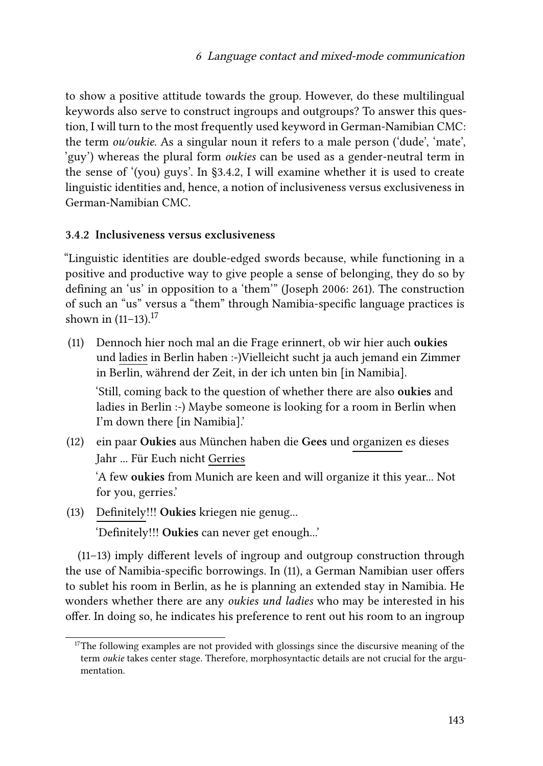to show a positive attitude towards the group. However, do these multilingual keywords also serve to construct ingroups and outgroups? To answer this question, I will turn to the most frequently used keyword in German-Namibian CMC: the term *ou/oukie.* As a singular noun it refers to a male person ('dude', 'mate', 'guy') whereas the plural form *oukies* can be used as a gender-neutral term in the sense of '(you) guys'. In§[3.4.2](#page-17-0), I will examine whether it is used to create linguistic identities and, hence, a notion of inclusiveness versus exclusiveness in German-Namibian CMC.

#### <span id="page-17-0"></span>**3.4.2 Inclusiveness versus exclusiveness**

"Linguistic identities are double-edged swords because, while functioning in a positive and productive way to give people a sense of belonging, they do so by defining an 'us' in opposition to a 'them'" [\(Joseph 2006](#page-30-10): 261). The construction of such an "us" versus a "them" through Namibia-specific language practices is shown in  $(11-13).^{17}$ 

- <span id="page-17-1"></span>(11) Dennoch hier noch mal an die Frage erinnert, ob wir hier auch **oukies** und ladies in Berlin haben :-)Vielleicht sucht ja auch jemand ein Zimmer in Berlin, während der Zeit, in der ich unten bin [in Namibia]. 'Still, coming back to the question of whether there are also **oukies** and ladies in Berlin :-) Maybe someone is looking for a room in Berlin when I'm down there [in Namibia].'
- <span id="page-17-3"></span>(12) ein paar **Oukies** aus München haben die **Gees** und organizen es dieses Jahr ... Für Euch nicht Gerries 'A few **oukies** from Munich are keen and will organize it this year... Not for you, gerries.'
- <span id="page-17-2"></span>(13) Definitely!!! **Oukies** kriegen nie genug...

'Definitely!!! **Oukies** can never get enough...'

[\(11](#page-17-1)[–13](#page-17-2)) imply different levels of ingroup and outgroup construction through the use of Namibia-specific borrowings. In [\(11](#page-17-1)), a German Namibian user offers to sublet his room in Berlin, as he is planning an extended stay in Namibia. He wonders whether there are any *oukies und ladies* who may be interested in his offer. In doing so, he indicates his preference to rent out his room to an ingroup

<sup>&</sup>lt;sup>17</sup>The following examples are not provided with glossings since the discursive meaning of the term *oukie* takes center stage. Therefore, morphosyntactic details are not crucial for the argumentation.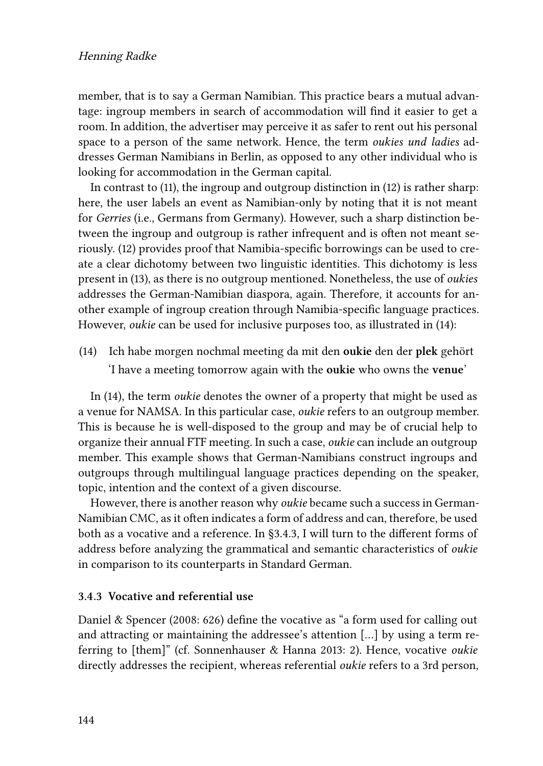member, that is to say a German Namibian. This practice bears a mutual advantage: ingroup members in search of accommodation will find it easier to get a room. In addition, the advertiser may perceive it as safer to rent out his personal space to a person of the same network. Hence, the term *oukies und ladies* addresses German Namibians in Berlin, as opposed to any other individual who is looking for accommodation in the German capital.

In contrast to([11](#page-17-1)), the ingroup and outgroup distinction in [\(12](#page-17-3)) is rather sharp: here, the user labels an event as Namibian-only by noting that it is not meant for *Gerries* (i.e., Germans from Germany). However, such a sharp distinction between the ingroup and outgroup is rather infrequent and is often not meant seriously. [\(12](#page-17-3)) provides proof that Namibia-specific borrowings can be used to create a clear dichotomy between two linguistic identities. This dichotomy is less present in [\(13](#page-17-2)), as there is no outgroup mentioned. Nonetheless, the use of *oukies* addresses the German-Namibian diaspora, again. Therefore, it accounts for another example of ingroup creation through Namibia-specific language practices. However, *oukie* can be used for inclusive purposes too, as illustrated in [\(14\)](#page-18-0):

<span id="page-18-0"></span>(14) Ich habe morgen nochmal meeting da mit den **oukie** den der **plek** gehört 'I have a meeting tomorrow again with the **oukie** who owns the **venue**'

In([14\)](#page-18-0), the term *oukie* denotes the owner of a property that might be used as a venue for NAMSA. In this particular case, *oukie* refers to an outgroup member. This is because he is well-disposed to the group and may be of crucial help to organize their annual FTF meeting. In such a case, *oukie* can include an outgroup member. This example shows that German-Namibians construct ingroups and outgroups through multilingual language practices depending on the speaker, topic, intention and the context of a given discourse.

However, there is another reason why *oukie* became such a success in German-Namibian CMC, as it often indicates a form of address and can, therefore, be used both as a vocative and a reference. In [§3.4.3,](#page-18-1) I will turn to the different forms of address before analyzing the grammatical and semantic characteristics of *oukie* in comparison to its counterparts in Standard German.

#### <span id="page-18-1"></span>**3.4.3 Vocative and referential use**

[Daniel & Spencer \(2008:](#page-29-11) 626) define the vocative as "a form used for calling out and attracting or maintaining the addressee's attention […] by using a term referring to [them]" (cf. [Sonnenhauser & Hanna 2013](#page-32-9): 2). Hence, vocative *oukie* directly addresses the recipient, whereas referential *oukie* refers to a 3rd person,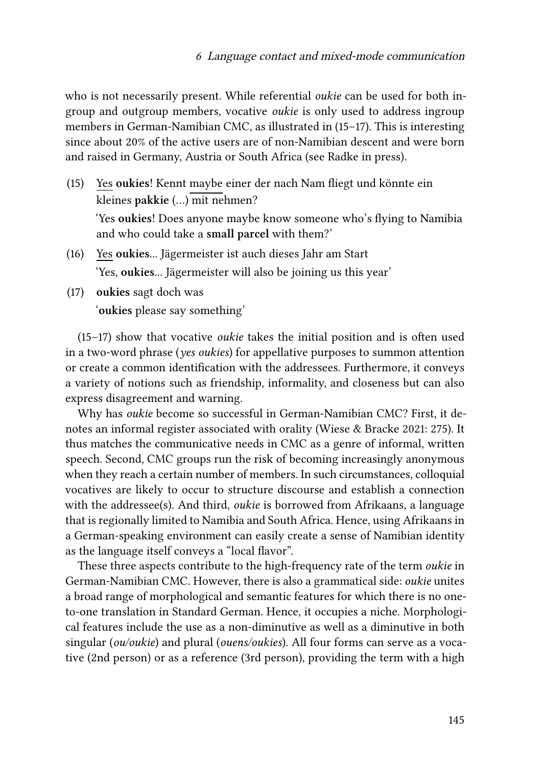who is not necessarily present. While referential *oukie* can be used for both ingroup and outgroup members, vocative *oukie* is only used to address ingroup members in German-Namibian CMC, as illustrated in([15–](#page-19-0)[17](#page-19-1)). This is interesting since about 20% of the active users are of non-Namibian descent and were born and raised in Germany, Austria or South Africa (see [Radke in press\)](#page-31-1).

<span id="page-19-0"></span>(15) Yes **oukies**! Kennt maybe einer der nach Nam fliegt und könnte ein kleines **pakkie** (…) mit nehmen?

'Yes **oukies**! Does anyone maybe know someone who's flying to Namibia and who could take a **small parcel** with them?'

- (16) Yes **oukies**... Jägermeister ist auch dieses Jahr am Start 'Yes, **oukies**... Jägermeister will also be joining us this year'
- <span id="page-19-1"></span>(17) **oukies** sagt doch was '**oukies** please say something'

[\(15](#page-19-0)[–17\)](#page-19-1) show that vocative *oukie* takes the initial position and is often used in a two-word phrase (*yes oukies*) for appellative purposes to summon attention or create a common identification with the addressees. Furthermore, it conveys a variety of notions such as friendship, informality, and closeness but can also express disagreement and warning.

Why has *oukie* become so successful in German-Namibian CMC? First, it denotes an informal register associated with orality [\(Wiese & Bracke 2021](#page-32-3): 275). It thus matches the communicative needs in CMC as a genre of informal, written speech. Second, CMC groups run the risk of becoming increasingly anonymous when they reach a certain number of members. In such circumstances, colloquial vocatives are likely to occur to structure discourse and establish a connection with the addressee(s). And third, *oukie* is borrowed from Afrikaans, a language that is regionally limited to Namibia and South Africa. Hence, using Afrikaans in a German-speaking environment can easily create a sense of Namibian identity as the language itself conveys a "local flavor".

These three aspects contribute to the high-frequency rate of the term *oukie* in German-Namibian CMC. However, there is also a grammatical side: *oukie* unites a broad range of morphological and semantic features for which there is no oneto-one translation in Standard German. Hence, it occupies a niche. Morphological features include the use as a non-diminutive as well as a diminutive in both singular (*ou/oukie*) and plural (*ouens/oukies*). All four forms can serve as a vocative (2nd person) or as a reference (3rd person), providing the term with a high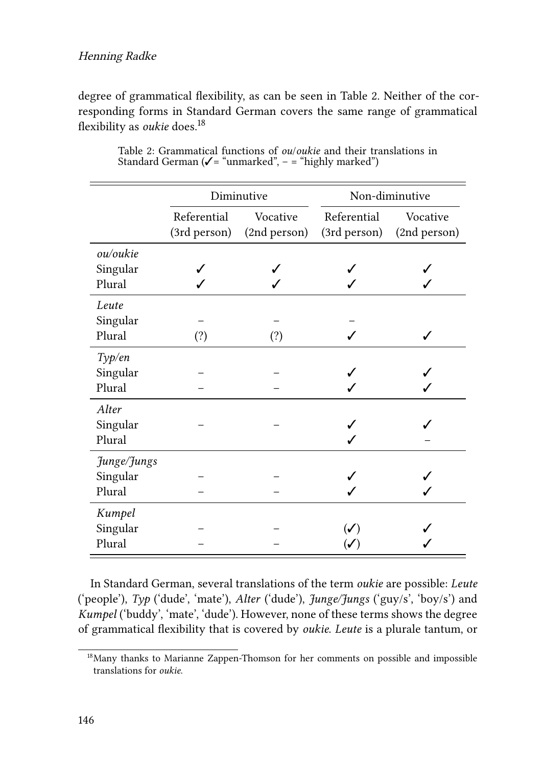#### Henning Radke

degree of grammatical flexibility, as can be seen in Table [2.](#page-20-0) Neither of the corresponding forms in Standard German covers the same range of grammatical flexibility as *oukie* does.<sup>18</sup>

<span id="page-20-0"></span>

|                                   | Diminutive                  |                          | Non-diminutive              |                          |
|-----------------------------------|-----------------------------|--------------------------|-----------------------------|--------------------------|
|                                   | Referential<br>(3rd person) | Vocative<br>(2nd person) | Referential<br>(3rd person) | Vocative<br>(2nd person) |
| ou/oukie<br>Singular<br>Plural    |                             |                          |                             |                          |
| Leute<br>Singular<br>Plural       | (?)                         | (?)                      |                             |                          |
| Type/en<br>Singular<br>Plural     |                             |                          |                             |                          |
| Alter<br>Singular<br>Plural       |                             |                          |                             |                          |
| Junge/Jungs<br>Singular<br>Plural |                             |                          |                             |                          |
| Kumpel<br>Singular<br>Plural      |                             |                          |                             |                          |

Table 2: Grammatical functions of *ou*/*oukie* and their translations in Standard German ( $\checkmark$  = "unmarked", - = "highly marked")

In Standard German, several translations of the term *oukie* are possible: *Leute* ('people'), *Typ* ('dude', 'mate'), *Alter* ('dude'), *Junge/Jungs* ('guy/s', 'boy/s') and *Kumpel* ('buddy', 'mate', 'dude'). However, none of these terms shows the degree of grammatical flexibility that is covered by *oukie*. *Leute* is a plurale tantum, or

<sup>&</sup>lt;sup>18</sup>Many thanks to Marianne Zappen-Thomson for her comments on possible and impossible translations for *oukie*.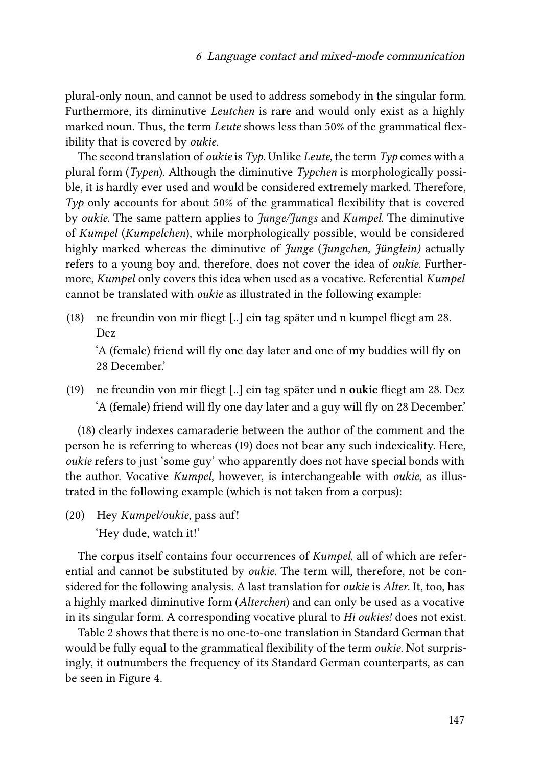plural-only noun, and cannot be used to address somebody in the singular form. Furthermore, its diminutive *Leutchen* is rare and would only exist as a highly marked noun. Thus, the term *Leute* shows less than 50% of the grammatical flexibility that is covered by *oukie*.

The second translation of *oukie* is *Typ*. Unlike *Leute,* the term *Typ* comes with a plural form (*Typen*). Although the diminutive *Typchen* is morphologically possible, it is hardly ever used and would be considered extremely marked. Therefore, *Typ* only accounts for about 50% of the grammatical flexibility that is covered by *oukie*. The same pattern applies to *Junge/Jungs* and *Kumpel*. The diminutive of *Kumpel* (*Kumpelchen*), while morphologically possible, would be considered highly marked whereas the diminutive of *Junge* (*Jungchen, Jünglein)* actually refers to a young boy and, therefore, does not cover the idea of *oukie*. Furthermore, *Kumpel* only covers this idea when used as a vocative. Referential *Kumpel* cannot be translated with *oukie* as illustrated in the following example:

<span id="page-21-0"></span>(18) ne freundin von mir fliegt [..] ein tag später und n kumpel fliegt am 28. Dez

'A (female) friend will fly one day later and one of my buddies will fly on 28 December.'

<span id="page-21-1"></span>(19) ne freundin von mir fliegt [..] ein tag später und n **oukie** fliegt am 28. Dez 'A (female) friend will fly one day later and a guy will fly on 28 December.'

[\(18](#page-21-0)) clearly indexes camaraderie between the author of the comment and the person he is referring to whereas [\(19](#page-21-1)) does not bear any such indexicality. Here, *oukie* refers to just 'some guy' who apparently does not have special bonds with the author. Vocative *Kumpel*, however, is interchangeable with *oukie*, as illustrated in the following example (which is not taken from a corpus):

(20) Hey *Kumpel/oukie*, pass auf! 'Hey dude, watch it!'

The corpus itself contains four occurrences of *Kumpel*, all of which are referential and cannot be substituted by *oukie*. The term will, therefore, not be considered for the following analysis. A last translation for *oukie* is *Alter*. It, too, has a highly marked diminutive form (*Alterchen*) and can only be used as a vocative in its singular form. A corresponding vocative plural to *Hi oukies!* does not exist.

Table [2](#page-20-0) shows that there is no one-to-one translation in Standard German that would be fully equal to the grammatical flexibility of the term *oukie*. Not surprisingly, it outnumbers the frequency of its Standard German counterparts, as can be seen in Figure [4.](#page-22-1)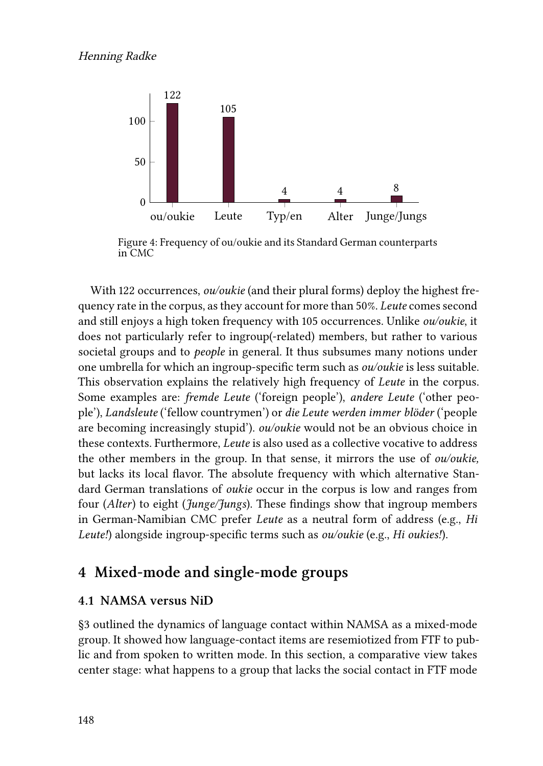<span id="page-22-1"></span>

Figure 4: Frequency of ou/oukie and its Standard German counterparts in CMC

With 122 occurrences, *ou/oukie* (and their plural forms) deploy the highest frequency rate in the corpus, as they account for more than 50%. *Leute* comes second and still enjoys a high token frequency with 105 occurrences. Unlike *ou/oukie*, it does not particularly refer to ingroup(-related) members, but rather to various societal groups and to *people* in general. It thus subsumes many notions under one umbrella for which an ingroup-specific term such as *ou/oukie* is less suitable. This observation explains the relatively high frequency of *Leute* in the corpus. Some examples are: *fremde Leute* ('foreign people'), *andere Leute* ('other people'), *Landsleute* ('fellow countrymen') or *die Leute werden immer blöder* ('people are becoming increasingly stupid'). *ou/oukie* would not be an obvious choice in these contexts. Furthermore, *Leute* is also used as a collective vocative to address the other members in the group. In that sense, it mirrors the use of *ou/oukie,* but lacks its local flavor. The absolute frequency with which alternative Standard German translations of *oukie* occur in the corpus is low and ranges from four (*Alter*) to eight (*Junge/Jungs*). These findings show that ingroup members in German-Namibian CMC prefer *Leute* as a neutral form of address (e.g., *Hi Leute!*) alongside ingroup-specific terms such as *ou/oukie* (e.g., *Hi oukies!*).

## <span id="page-22-0"></span>**4 Mixed-mode and single-mode groups**

#### <span id="page-22-2"></span>**4.1 NAMSA versus NiD**

§[3](#page-7-0) outlined the dynamics of language contact within NAMSA as a mixed-mode group. It showed how language-contact items are resemiotized from FTF to public and from spoken to written mode. In this section, a comparative view takes center stage: what happens to a group that lacks the social contact in FTF mode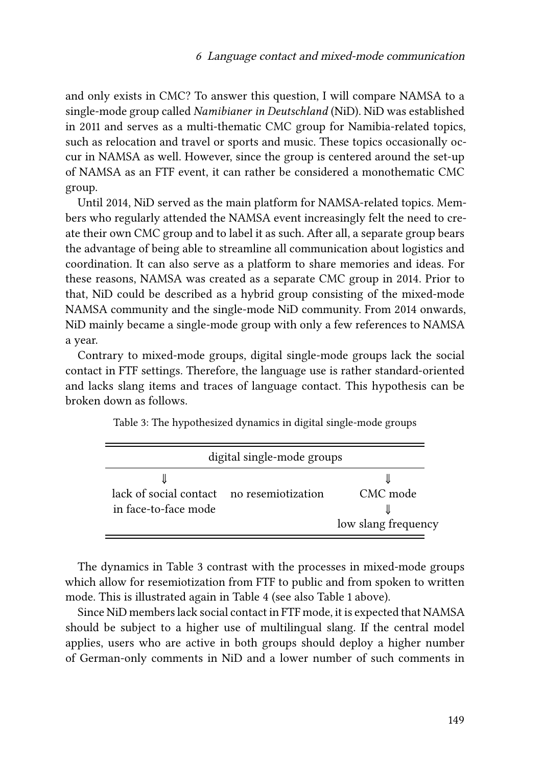and only exists in CMC? To answer this question, I will compare NAMSA to a single-mode group called *Namibianer in Deutschland* (NiD). NiD was established in 2011 and serves as a multi-thematic CMC group for Namibia-related topics, such as relocation and travel or sports and music. These topics occasionally occur in NAMSA as well. However, since the group is centered around the set-up of NAMSA as an FTF event, it can rather be considered a monothematic CMC group.

Until 2014, NiD served as the main platform for NAMSA-related topics. Members who regularly attended the NAMSA event increasingly felt the need to create their own CMC group and to label it as such. After all, a separate group bears the advantage of being able to streamline all communication about logistics and coordination. It can also serve as a platform to share memories and ideas. For these reasons, NAMSA was created as a separate CMC group in 2014. Prior to that, NiD could be described as a hybrid group consisting of the mixed-mode NAMSA community and the single-mode NiD community. From 2014 onwards, NiD mainly became a single-mode group with only a few references to NAMSA a year.

Contrary to mixed-mode groups, digital single-mode groups lack the social contact in FTF settings. Therefore, the language use is rather standard-oriented and lacks slang items and traces of language contact. This hypothesis can be broken down as follows.

<span id="page-23-0"></span>

| digital single-mode groups                                        |  |                                 |  |  |
|-------------------------------------------------------------------|--|---------------------------------|--|--|
| lack of social contact no resemiotization<br>in face-to-face mode |  | CMC mode<br>low slang frequency |  |  |

Table 3: The hypothesized dynamics in digital single-mode groups

The dynamics in Table [3](#page-23-0) contrast with the processes in mixed-mode groups which allow for resemiotization from FTF to public and from spoken to written mode. This is illustrated again in Table [4](#page-24-0) (see also Table [1](#page-3-0) above).

Since NiD members lack social contact in FTF mode, it is expected that NAMSA should be subject to a higher use of multilingual slang. If the central model applies, users who are active in both groups should deploy a higher number of German-only comments in NiD and a lower number of such comments in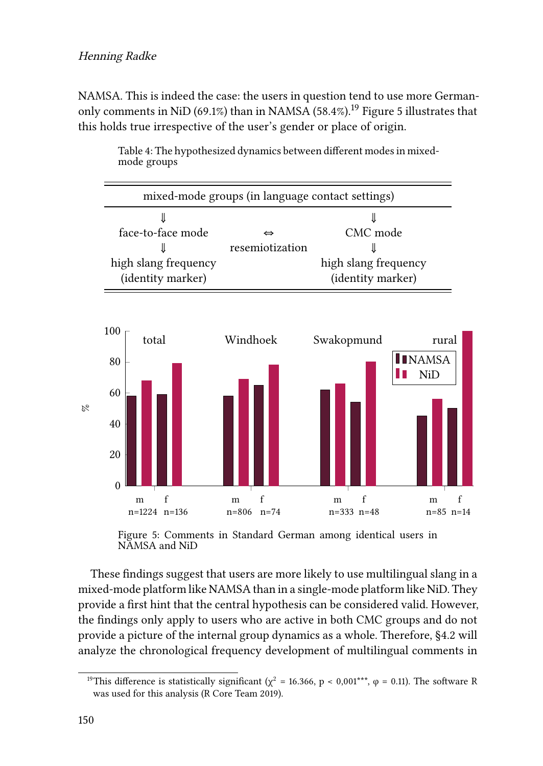NAMSA. This is indeed the case: the users in question tend to use more German-only comments in NiD (69.1%) than in NAMSA ([5](#page-24-1)8.4%).<sup>19</sup> Figure 5 illustrates that this holds true irrespective of the user's gender or place of origin.

<span id="page-24-0"></span>

Table 4: The hypothesized dynamics between different modes in mixedmode groups

<span id="page-24-1"></span>

Figure 5: Comments in Standard German among identical users in NAMSA and NiD

These findings suggest that users are more likely to use multilingual slang in a mixed-mode platform like NAMSA than in a single-mode platform like NiD. They provide a first hint that the central hypothesis can be considered valid. However, the findings only apply to users who are active in both CMC groups and do not provide a picture of the internal group dynamics as a whole. Therefore, §[4.2](#page-25-0) will analyze the chronological frequency development of multilingual comments in

<sup>&</sup>lt;sup>19</sup>This difference is statistically significant ( $\chi^2$  = 16.366, p < 0,001\*\*\*,  $\varphi$  = 0.11). The software R was used for this analysis [\(R Core Team 2019](#page-31-12)).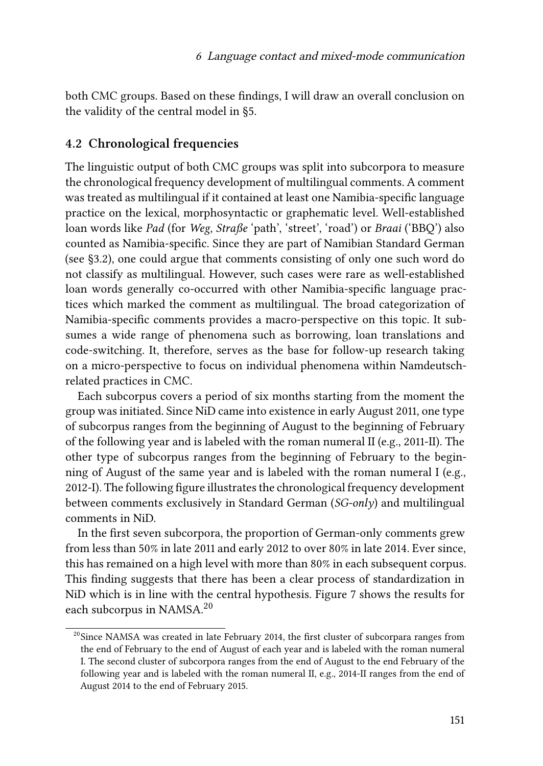both CMC groups. Based on these findings, I will draw an overall conclusion on the validity of the central model in §[5.](#page-27-0)

#### <span id="page-25-0"></span>**4.2 Chronological frequencies**

The linguistic output of both CMC groups was split into subcorpora to measure the chronological frequency development of multilingual comments. A comment was treated as multilingual if it contained at least one Namibia-specific language practice on the lexical, morphosyntactic or graphematic level. Well-established loan words like *Pad* (for *Weg*, *Straße* 'path', 'street', 'road') or *Braai* ('BBQ') also counted as Namibia-specific. Since they are part of Namibian Standard German (see [§3.2\)](#page-10-0), one could argue that comments consisting of only one such word do not classify as multilingual. However, such cases were rare as well-established loan words generally co-occurred with other Namibia-specific language practices which marked the comment as multilingual. The broad categorization of Namibia-specific comments provides a macro-perspective on this topic. It subsumes a wide range of phenomena such as borrowing, loan translations and code-switching. It, therefore, serves as the base for follow-up research taking on a micro-perspective to focus on individual phenomena within Namdeutschrelated practices in CMC.

Each subcorpus covers a period of six months starting from the moment the group was initiated. Since NiD came into existence in early August 2011, one type of subcorpus ranges from the beginning of August to the beginning of February of the following year and is labeled with the roman numeral II (e.g., 2011-II). The other type of subcorpus ranges from the beginning of February to the beginning of August of the same year and is labeled with the roman numeral I (e.g., 2012-I). The following figure illustrates the chronological frequency development between comments exclusively in Standard German (*SG-only*) and multilingual comments in NiD.

In the first seven subcorpora, the proportion of German-only comments grew from less than 50% in late 2011 and early 2012 to over 80% in late 2014. Ever since, this has remained on a high level with more than 80% in each subsequent corpus. This finding suggests that there has been a clear process of standardization in NiD which is in line with the central hypothesis. Figure [7](#page-26-0) shows the results for each subcorpus in NAMSA.<sup>20</sup>

<sup>&</sup>lt;sup>20</sup>Since NAMSA was created in late February 2014, the first cluster of subcorpara ranges from the end of February to the end of August of each year and is labeled with the roman numeral I. The second cluster of subcorpora ranges from the end of August to the end February of the following year and is labeled with the roman numeral II, e.g., 2014-II ranges from the end of August 2014 to the end of February 2015.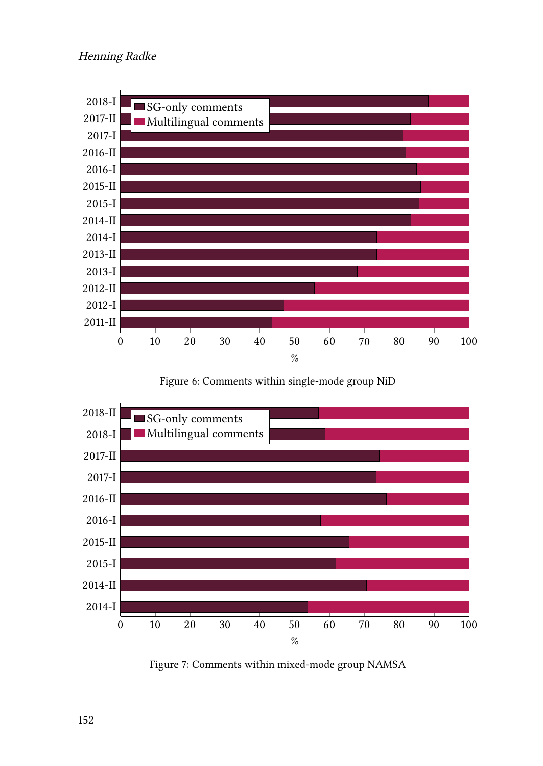

Figure 6: Comments within single-mode group NiD

<span id="page-26-0"></span>

Figure 7: Comments within mixed-mode group NAMSA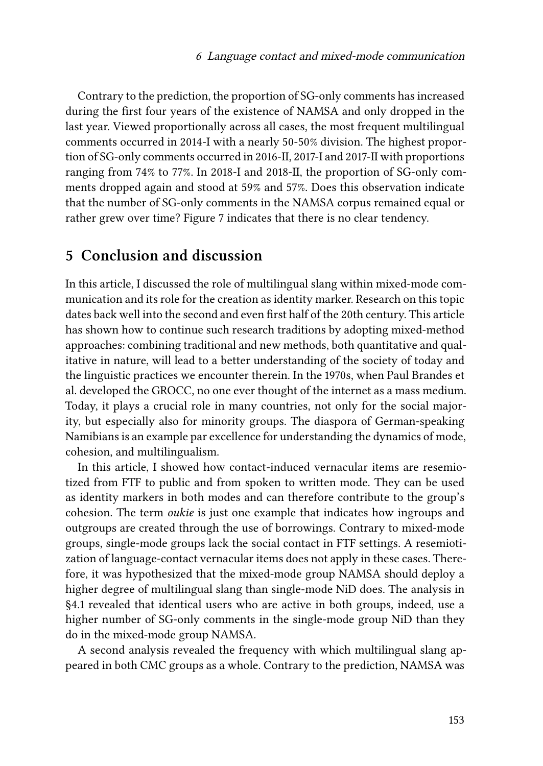Contrary to the prediction, the proportion of SG-only comments has increased during the first four years of the existence of NAMSA and only dropped in the last year. Viewed proportionally across all cases, the most frequent multilingual comments occurred in 2014-I with a nearly 50-50% division. The highest proportion of SG-only comments occurred in 2016-II, 2017-I and 2017-II with proportions ranging from 74% to 77%. In 2018-I and 2018-II, the proportion of SG-only comments dropped again and stood at 59% and 57%. Does this observation indicate that the number of SG-only comments in the NAMSA corpus remained equal or rather grew over time? Figure [7](#page-26-0) indicates that there is no clear tendency.

## <span id="page-27-0"></span>**5 Conclusion and discussion**

In this article, I discussed the role of multilingual slang within mixed-mode communication and its role for the creation as identity marker. Research on this topic dates back well into the second and even first half of the 20th century. This article has shown how to continue such research traditions by adopting mixed-method approaches: combining traditional and new methods, both quantitative and qualitative in nature, will lead to a better understanding of the society of today and the linguistic practices we encounter therein. In the 1970s, when Paul Brandes et al. developed the GROCC, no one ever thought of the internet as a mass medium. Today, it plays a crucial role in many countries, not only for the social majority, but especially also for minority groups. The diaspora of German-speaking Namibians is an example par excellence for understanding the dynamics of mode, cohesion, and multilingualism.

In this article, I showed how contact-induced vernacular items are resemiotized from FTF to public and from spoken to written mode. They can be used as identity markers in both modes and can therefore contribute to the group's cohesion. The term *oukie* is just one example that indicates how ingroups and outgroups are created through the use of borrowings. Contrary to mixed-mode groups, single-mode groups lack the social contact in FTF settings. A resemiotization of language-contact vernacular items does not apply in these cases. Therefore, it was hypothesized that the mixed-mode group NAMSA should deploy a higher degree of multilingual slang than single-mode NiD does. The analysis in [§4.1](#page-22-2) revealed that identical users who are active in both groups, indeed, use a higher number of SG-only comments in the single-mode group NiD than they do in the mixed-mode group NAMSA.

A second analysis revealed the frequency with which multilingual slang appeared in both CMC groups as a whole. Contrary to the prediction, NAMSA was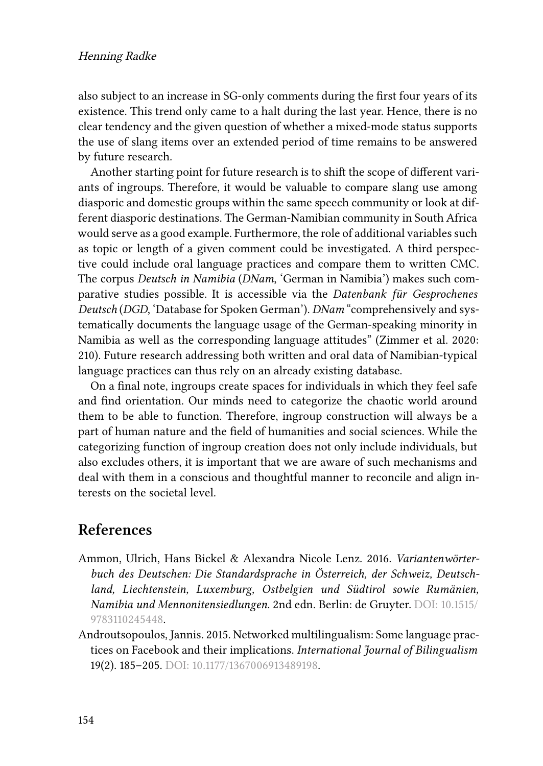also subject to an increase in SG-only comments during the first four years of its existence. This trend only came to a halt during the last year. Hence, there is no clear tendency and the given question of whether a mixed-mode status supports the use of slang items over an extended period of time remains to be answered by future research.

Another starting point for future research is to shift the scope of different variants of ingroups. Therefore, it would be valuable to compare slang use among diasporic and domestic groups within the same speech community or look at different diasporic destinations. The German-Namibian community in South Africa would serve as a good example. Furthermore, the role of additional variables such as topic or length of a given comment could be investigated. A third perspective could include oral language practices and compare them to written CMC. The corpus *Deutsch in Namibia* (*DNam*, 'German in Namibia') makes such comparative studies possible. It is accessible via the *Datenbank für Gesprochenes Deutsch* (*DGD*, 'Database for Spoken German'). *DNam* "comprehensively and systematically documents the language usage of the German-speaking minority in Namibia as well as the corresponding language attitudes"([Zimmer et al. 2020](#page-32-8): 210). Future research addressing both written and oral data of Namibian-typical language practices can thus rely on an already existing database.

On a final note, ingroups create spaces for individuals in which they feel safe and find orientation. Our minds need to categorize the chaotic world around them to be able to function. Therefore, ingroup construction will always be a part of human nature and the field of humanities and social sciences. While the categorizing function of ingroup creation does not only include individuals, but also excludes others, it is important that we are aware of such mechanisms and deal with them in a conscious and thoughtful manner to reconcile and align interests on the societal level.

## **References**

- <span id="page-28-1"></span>Ammon, Ulrich, Hans Bickel & Alexandra Nicole Lenz. 2016. *Variantenwörterbuch des Deutschen: Die Standardsprache in Österreich, der Schweiz, Deutschland, Liechtenstein, Luxemburg, Ostbelgien und Südtirol sowie Rumänien, Namibia und Mennonitensiedlungen*. 2nd edn. Berlin: de Gruyter. DOI: [10.1515/](https://doi.org/10.1515/9783110245448) [9783110245448.](https://doi.org/10.1515/9783110245448)
- <span id="page-28-0"></span>Androutsopoulos, Jannis. 2015. Networked multilingualism: Some language practices on Facebook and their implications. *International Journal of Bilingualism* 19(2). 185–205. DOI: [10.1177/1367006913489198](https://doi.org/10.1177/1367006913489198).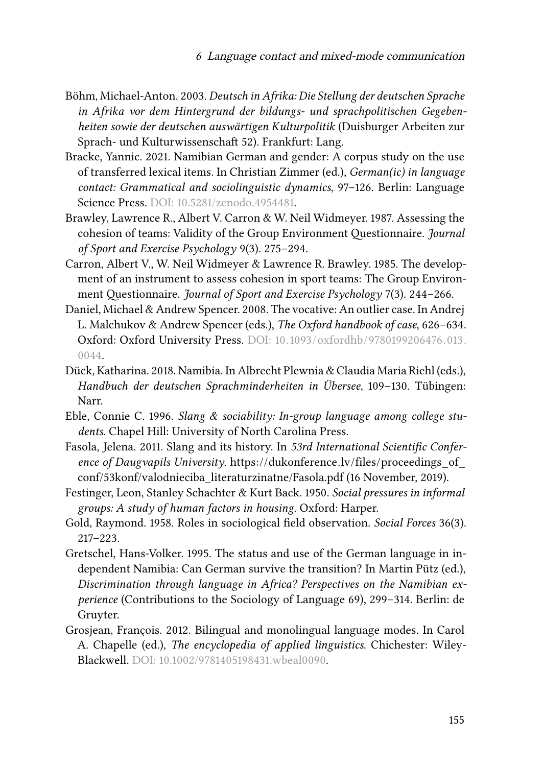- <span id="page-29-2"></span>Böhm, Michael-Anton. 2003. *Deutsch in Afrika: Die Stellung der deutschen Sprache in Afrika vor dem Hintergrund der bildungs- und sprachpolitischen Gegebenheiten sowie der deutschen auswärtigen Kulturpolitik* (Duisburger Arbeiten zur Sprach- und Kulturwissenschaft 52). Frankfurt: Lang.
- <span id="page-29-5"></span>Bracke, Yannic. 2021. Namibian German and gender: A corpus study on the use of transferred lexical items. In Christian Zimmer (ed.), *German(ic) in language contact: Grammatical and sociolinguistic dynamics*, 97–126. Berlin: Language Science Press. DOI: [10.5281/zenodo.4954481.](https://doi.org/10.5281/zenodo.4954481)
- <span id="page-29-9"></span>Brawley, Lawrence R., Albert V. Carron & W. Neil Widmeyer. 1987. Assessing the cohesion of teams: Validity of the Group Environment Questionnaire. *Journal of Sport and Exercise Psychology* 9(3). 275–294.
- <span id="page-29-8"></span>Carron, Albert V., W. Neil Widmeyer & Lawrence R. Brawley. 1985. The development of an instrument to assess cohesion in sport teams: The Group Environment Questionnaire. *Journal of Sport and Exercise Psychology* 7(3). 244–266.
- <span id="page-29-11"></span>Daniel, Michael & Andrew Spencer. 2008. The vocative: An outlier case. In Andrej L. Malchukov & Andrew Spencer (eds.), *The Oxford handbook of case*, 626–634. Oxford: Oxford University Press. DOI: [10.1093/oxfordhb/9780199206476.013.](https://doi.org/10.1093/oxfordhb/9780199206476.013.0044) [0044](https://doi.org/10.1093/oxfordhb/9780199206476.013.0044).
- <span id="page-29-3"></span>Dück, Katharina. 2018. Namibia. In Albrecht Plewnia & Claudia Maria Riehl (eds.), *Handbuch der deutschen Sprachminderheiten in Übersee*, 109–130. Tübingen: Narr.
- <span id="page-29-0"></span>Eble, Connie C. 1996. *Slang & sociability: In-group language among college students*. Chapel Hill: University of North Carolina Press.
- <span id="page-29-1"></span>Fasola, Jelena. 2011. Slang and its history. In *53rd International Scientific Conference of Daugvapils University*. [https://dukonference.lv/files/proceedings\\_of\\_](https://dukonference.lv/files/proceedings_of_conf/53konf/valodnieciba_literaturzinatne/Fasola.pdf) [conf/53konf/valodnieciba\\_literaturzinatne/Fasola.pdf](https://dukonference.lv/files/proceedings_of_conf/53konf/valodnieciba_literaturzinatne/Fasola.pdf) (16 November, 2019).
- <span id="page-29-10"></span>Festinger, Leon, Stanley Schachter & Kurt Back. 1950. *Social pressures in informal groups: A study of human factors in housing*. Oxford: Harper.
- <span id="page-29-6"></span>Gold, Raymond. 1958. Roles in sociological field observation. *Social Forces* 36(3). 217–223.
- <span id="page-29-4"></span>Gretschel, Hans-Volker. 1995. The status and use of the German language in independent Namibia: Can German survive the transition? In Martin Pütz (ed.), *Discrimination through language in Africa? Perspectives on the Namibian experience* (Contributions to the Sociology of Language 69), 299–314. Berlin: de Gruyter.
- <span id="page-29-7"></span>Grosjean, François. 2012. Bilingual and monolingual language modes. In Carol A. Chapelle (ed.), *The encyclopedia of applied linguistics*. Chichester: Wiley-Blackwell. DOI: [10.1002/9781405198431.wbeal0090](https://doi.org/10.1002/9781405198431.wbeal0090).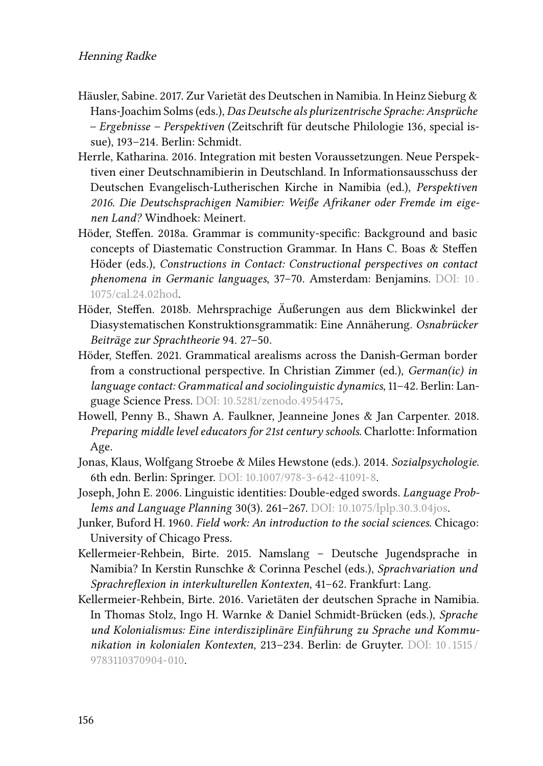- <span id="page-30-9"></span>Häusler, Sabine. 2017. Zur Varietät des Deutschen in Namibia. In Heinz Sieburg & Hans-Joachim Solms (eds.), *Das Deutsche als plurizentrische Sprache: Ansprüche – Ergebnisse – Perspektiven* (Zeitschrift für deutsche Philologie 136, special issue), 193–214. Berlin: Schmidt.
- <span id="page-30-8"></span>Herrle, Katharina. 2016. Integration mit besten Voraussetzungen. Neue Perspektiven einer Deutschnamibierin in Deutschland. In Informationsausschuss der Deutschen Evangelisch-Lutherischen Kirche in Namibia (ed.), *Perspektiven 2016. Die Deutschsprachigen Namibier: Weiße Afrikaner oder Fremde im eigenen Land?* Windhoek: Meinert.
- <span id="page-30-2"></span>Höder, Steffen. 2018a. Grammar is community-specific: Background and basic concepts of Diastematic Construction Grammar. In Hans C. Boas & Steffen Höder (eds.), *Constructions in Contact: Constructional perspectives on contact phenomena in Germanic languages*, 37–70. Amsterdam: Benjamins. DOI: [10 .](https://doi.org/10.1075/cal.24.02hod) [1075/cal.24.02hod](https://doi.org/10.1075/cal.24.02hod).
- <span id="page-30-3"></span>Höder, Steffen. 2018b. Mehrsprachige Äußerungen aus dem Blickwinkel der Diasystematischen Konstruktionsgrammatik: Eine Annäherung. *Osnabrücker Beiträge zur Sprachtheorie* 94. 27–50.
- <span id="page-30-5"></span>Höder, Steffen. 2021. Grammatical arealisms across the Danish-German border from a constructional perspective. In Christian Zimmer (ed.), *German(ic) in language contact: Grammatical and sociolinguistic dynamics*, 11–42. Berlin: Language Science Press. DOI: [10.5281/zenodo.4954475](https://doi.org/10.5281/zenodo.4954475).
- <span id="page-30-7"></span>Howell, Penny B., Shawn A. Faulkner, Jeanneine Jones & Jan Carpenter. 2018. *Preparing middle level educators for 21st century schools*. Charlotte: Information Age.
- <span id="page-30-4"></span>Jonas, Klaus, Wolfgang Stroebe & Miles Hewstone (eds.). 2014. *Sozialpsychologie*. 6th edn. Berlin: Springer. DOI: [10.1007/978-3-642-41091-8](https://doi.org/10.1007/978-3-642-41091-8).
- <span id="page-30-10"></span>Joseph, John E. 2006. Linguistic identities: Double-edged swords. *Language Problems and Language Planning* 30(3). 261–267. DOI: [10.1075/lplp.30.3.04jos](https://doi.org/10.1075/lplp.30.3.04jos).
- <span id="page-30-6"></span>Junker, Buford H. 1960. *Field work: An introduction to the social sciences*. Chicago: University of Chicago Press.
- <span id="page-30-0"></span>Kellermeier-Rehbein, Birte. 2015. Namslang – Deutsche Jugendsprache in Namibia? In Kerstin Runschke & Corinna Peschel (eds.), *Sprachvariation und Sprachreflexion in interkulturellen Kontexten*, 41–62. Frankfurt: Lang.
- <span id="page-30-1"></span>Kellermeier-Rehbein, Birte. 2016. Varietäten der deutschen Sprache in Namibia. In Thomas Stolz, Ingo H. Warnke & Daniel Schmidt-Brücken (eds.), *Sprache und Kolonialismus: Eine interdisziplinäre Einführung zu Sprache und Kommunikation in kolonialen Kontexten*, 213–234. Berlin: de Gruyter. DOI: [10 . 1515 /](https://doi.org/10.1515/9783110370904-010) [9783110370904-010.](https://doi.org/10.1515/9783110370904-010)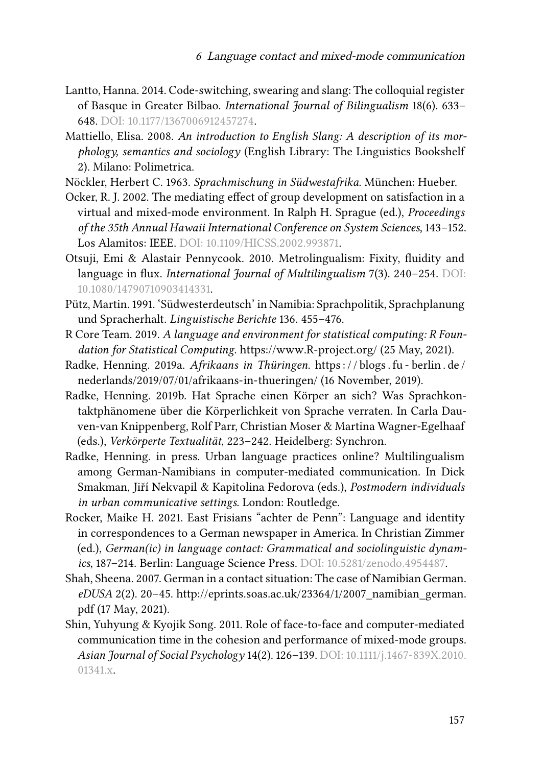- <span id="page-31-5"></span>Lantto, Hanna. 2014. Code-switching, swearing and slang: The colloquial register of Basque in Greater Bilbao. *International Journal of Bilingualism* 18(6). 633– 648. DOI: [10.1177/1367006912457274.](https://doi.org/10.1177/1367006912457274)
- <span id="page-31-0"></span>Mattiello, Elisa. 2008. *An introduction to English Slang: A description of its morphology, semantics and sociology* (English Library: The Linguistics Bookshelf 2). Milano: Polimetrica.
- <span id="page-31-2"></span>Nöckler, Herbert C. 1963. *Sprachmischung in Südwestafrika*. München: Hueber.
- <span id="page-31-10"></span>Ocker, R. J. 2002. The mediating effect of group development on satisfaction in a virtual and mixed-mode environment. In Ralph H. Sprague (ed.), *Proceedings of the 35th Annual Hawaii International Conference on System Sciences*, 143–152. Los Alamitos: IEEE. DOI: [10.1109/HICSS.2002.993871.](https://doi.org/10.1109/HICSS.2002.993871)
- <span id="page-31-6"></span>Otsuji, Emi & Alastair Pennycook. 2010. Metrolingualism: Fixity, fluidity and language in flux. *International Journal of Multilingualism* 7(3). 240–254. DOI: [10.1080/14790710903414331.](https://doi.org/10.1080/14790710903414331)
- <span id="page-31-3"></span>Pütz, Martin. 1991. 'Südwesterdeutsch' in Namibia: Sprachpolitik, Sprachplanung und Spracherhalt. *Linguistische Berichte* 136. 455–476.
- <span id="page-31-12"></span>R Core Team. 2019. *A language and environment for statistical computing: R Foundation for Statistical Computing*. <https://www.R-project.org/> (25 May, 2021).
- <span id="page-31-7"></span>Radke, Henning. 2019a. *Afrikaans in Thüringen*. [https : / / blogs . fu - berlin . de /](https://blogs.fu-berlin.de/nederlands/2019/07/01/afrikaans-in-thueringen/) [nederlands/2019/07/01/afrikaans-in-thueringen/](https://blogs.fu-berlin.de/nederlands/2019/07/01/afrikaans-in-thueringen/) (16 November, 2019).
- <span id="page-31-9"></span>Radke, Henning. 2019b. Hat Sprache einen Körper an sich? Was Sprachkontaktphänomene über die Körperlichkeit von Sprache verraten. In Carla Dauven‐van Knippenberg, Rolf Parr, Christian Moser & Martina Wagner-Egelhaaf (eds.), *Verkörperte Textualität*, 223–242. Heidelberg: Synchron.
- <span id="page-31-1"></span>Radke, Henning. in press. Urban language practices online? Multilingualism among German-Namibians in computer-mediated communication. In Dick Smakman, Jiří Nekvapil & Kapitolina Fedorova (eds.), *Postmodern individuals in urban communicative settings*. London: Routledge.
- <span id="page-31-4"></span>Rocker, Maike H. 2021. East Frisians "achter de Penn": Language and identity in correspondences to a German newspaper in America. In Christian Zimmer (ed.), *German(ic) in language contact: Grammatical and sociolinguistic dynamics*, 187–214. Berlin: Language Science Press. DOI: [10.5281/zenodo.4954487](https://doi.org/10.5281/zenodo.4954487).
- <span id="page-31-8"></span>Shah, Sheena. 2007. German in a contact situation: The case of Namibian German. *eDUSA* 2(2). 20–45. [http://eprints.soas.ac.uk/23364/1/2007\\_namibian\\_german.](http://eprints.soas.ac.uk/23364/1/2007_namibian_german.pdf) [pdf](http://eprints.soas.ac.uk/23364/1/2007_namibian_german.pdf) (17 May, 2021).
- <span id="page-31-11"></span>Shin, Yuhyung & Kyojik Song. 2011. Role of face-to-face and computer-mediated communication time in the cohesion and performance of mixed-mode groups. *Asian Journal of Social Psychology* 14(2). 126–139. DOI: [10.1111/j.1467-839X.2010.](https://doi.org/10.1111/j.1467-839X.2010.01341.x) [01341.x](https://doi.org/10.1111/j.1467-839X.2010.01341.x).